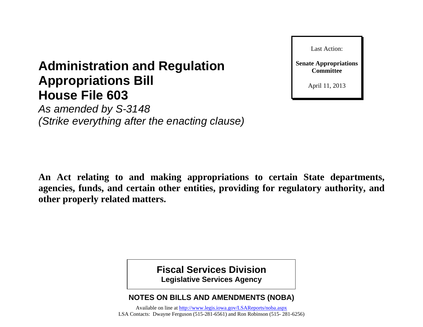

#### April 11, 2013

# **Administration and Regulation Appropriations Bill House File 603**

*As amended by S-3148 (Strike everything after the enacting clause)*

**An Act relating to and making appropriations to certain State departments, agencies, funds, and certain other entities, providing for regulatory authority, and other properly related matters.**

> **Fiscal Services Division Legislative Services Agency**

## **NOTES ON BILLS AND AMENDMENTS (NOBA)**

Available on line at<http://www.legis.iowa.gov/LSAReports/noba.aspx> LSA Contacts: Dwayne Ferguson (515-281-6561) and Ron Robinson (515- 281-6256)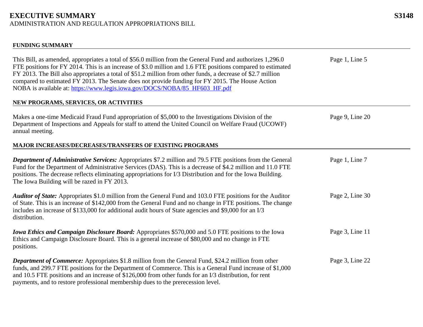#### **FUNDING SUMMARY**

| This Bill, as amended, appropriates a total of \$56.0 million from the General Fund and authorizes 1,296.0<br>FTE positions for FY 2014. This is an increase of \$3.0 million and 1.6 FTE positions compared to estimated<br>FY 2013. The Bill also appropriates a total of \$51.2 million from other funds, a decrease of \$2.7 million<br>compared to estimated FY 2013. The Senate does not provide funding for FY 2015. The House Action<br>NOBA is available at: https://www.legis.jowa.gov/DOCS/NOBA/85 HF603 HF.pdf | Page 1, Line 5  |
|----------------------------------------------------------------------------------------------------------------------------------------------------------------------------------------------------------------------------------------------------------------------------------------------------------------------------------------------------------------------------------------------------------------------------------------------------------------------------------------------------------------------------|-----------------|
| NEW PROGRAMS, SERVICES, OR ACTIVITIES                                                                                                                                                                                                                                                                                                                                                                                                                                                                                      |                 |
| Makes a one-time Medicaid Fraud Fund appropriation of \$5,000 to the Investigations Division of the<br>Department of Inspections and Appeals for staff to attend the United Council on Welfare Fraud (UCOWF)<br>annual meeting.                                                                                                                                                                                                                                                                                            | Page 9, Line 20 |
| <b>MAJOR INCREASES/DECREASES/TRANSFERS OF EXISTING PROGRAMS</b>                                                                                                                                                                                                                                                                                                                                                                                                                                                            |                 |
| Department of Administrative Services: Appropriates \$7.2 million and 79.5 FTE positions from the General<br>Fund for the Department of Administrative Services (DAS). This is a decrease of \$4.2 million and 11.0 FTE<br>positions. The decrease reflects eliminating appropriations for I/3 Distribution and for the Iowa Building.<br>The Iowa Building will be razed in FY 2013.                                                                                                                                      | Page 1, Line 7  |
| Auditor of State: Appropriates \$1.0 million from the General Fund and 103.0 FTE positions for the Auditor<br>of State. This is an increase of \$142,000 from the General Fund and no change in FTE positions. The change<br>includes an increase of \$133,000 for additional audit hours of State agencies and \$9,000 for an I/3<br>distribution.                                                                                                                                                                        | Page 2, Line 30 |
| <b>Iowa Ethics and Campaign Disclosure Board:</b> Appropriates \$570,000 and 5.0 FTE positions to the Iowa<br>Ethics and Campaign Disclosure Board. This is a general increase of \$80,000 and no change in FTE<br>positions.                                                                                                                                                                                                                                                                                              | Page 3, Line 11 |
| <b>Department of Commerce:</b> Appropriates \$1.8 million from the General Fund, \$24.2 million from other<br>funds, and 299.7 FTE positions for the Department of Commerce. This is a General Fund increase of \$1,000<br>and 10.5 FTE positions and an increase of \$126,000 from other funds for an I/3 distribution, for rent<br>payments, and to restore professional membership dues to the prerecession level.                                                                                                      | Page 3, Line 22 |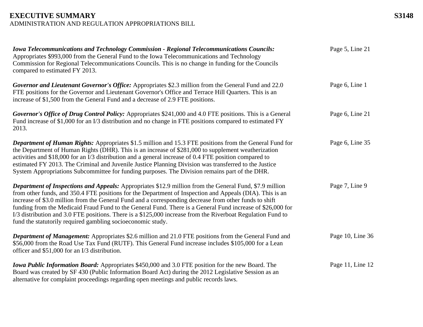| <b>Iowa Telecommunications and Technology Commission - Regional Telecommunications Councils:</b><br>Appropriates \$993,000 from the General Fund to the Iowa Telecommunications and Technology<br>Commission for Regional Telecommunications Councils. This is no change in funding for the Councils<br>compared to estimated FY 2013.                                                                                                                                                                                                                                                                                           | Page 5, Line 21  |
|----------------------------------------------------------------------------------------------------------------------------------------------------------------------------------------------------------------------------------------------------------------------------------------------------------------------------------------------------------------------------------------------------------------------------------------------------------------------------------------------------------------------------------------------------------------------------------------------------------------------------------|------------------|
| Governor and Lieutenant Governor's Office: Appropriates \$2.3 million from the General Fund and 22.0<br>FTE positions for the Governor and Lieutenant Governor's Office and Terrace Hill Quarters. This is an<br>increase of \$1,500 from the General Fund and a decrease of 2.9 FTE positions.                                                                                                                                                                                                                                                                                                                                  | Page 6, Line 1   |
| Governor's Office of Drug Control Policy: Appropriates \$241,000 and 4.0 FTE positions. This is a General<br>Fund increase of \$1,000 for an I/3 distribution and no change in FTE positions compared to estimated FY<br>2013.                                                                                                                                                                                                                                                                                                                                                                                                   | Page 6, Line 21  |
| <b>Department of Human Rights:</b> Appropriates \$1.5 million and 15.3 FTE positions from the General Fund for<br>the Department of Human Rights (DHR). This is an increase of \$281,000 to supplement weatherization<br>activities and \$18,000 for an I/3 distribution and a general increase of 0.4 FTE position compared to<br>estimated FY 2013. The Criminal and Juvenile Justice Planning Division was transferred to the Justice<br>System Appropriations Subcommittee for funding purposes. The Division remains part of the DHR.                                                                                       | Page 6, Line 35  |
| <b>Department of Inspections and Appeals:</b> Appropriates \$12.9 million from the General Fund, \$7.9 million<br>from other funds, and 350.4 FTE positions for the Department of Inspection and Appeals (DIA). This is an<br>increase of \$3.0 million from the General Fund and a corresponding decrease from other funds to shift<br>funding from the Medicaid Fraud Fund to the General Fund. There is a General Fund increase of \$26,000 for<br>I/3 distribution and 3.0 FTE positions. There is a \$125,000 increase from the Riverboat Regulation Fund to<br>fund the statutorily required gambling socioeconomic study. | Page 7, Line 9   |
| <b>Department of Management:</b> Appropriates \$2.6 million and 21.0 FTE positions from the General Fund and<br>\$56,000 from the Road Use Tax Fund (RUTF). This General Fund increase includes \$105,000 for a Lean<br>officer and \$51,000 for an I/3 distribution.                                                                                                                                                                                                                                                                                                                                                            | Page 10, Line 36 |
| <b>Iowa Public Information Board:</b> Appropriates \$450,000 and 3.0 FTE position for the new Board. The<br>Board was created by SF 430 (Public Information Board Act) during the 2012 Legislative Session as an<br>alternative for complaint proceedings regarding open meetings and public records laws.                                                                                                                                                                                                                                                                                                                       | Page 11, Line 12 |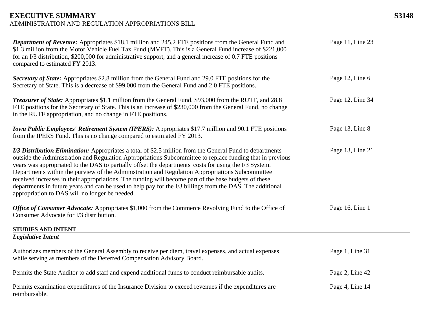| <b>Department of Revenue:</b> Appropriates \$18.1 million and 245.2 FTE positions from the General Fund and<br>\$1.3 million from the Motor Vehicle Fuel Tax Fund (MVFT). This is a General Fund increase of \$221,000<br>for an I/3 distribution, \$200,000 for administrative support, and a general increase of 0.7 FTE positions<br>compared to estimated FY 2013.                                                                                                                                                                                                                                                                                                                                     | Page 11, Line 23 |
|------------------------------------------------------------------------------------------------------------------------------------------------------------------------------------------------------------------------------------------------------------------------------------------------------------------------------------------------------------------------------------------------------------------------------------------------------------------------------------------------------------------------------------------------------------------------------------------------------------------------------------------------------------------------------------------------------------|------------------|
| Secretary of State: Appropriates \$2.8 million from the General Fund and 29.0 FTE positions for the<br>Secretary of State. This is a decrease of \$99,000 from the General Fund and 2.0 FTE positions.                                                                                                                                                                                                                                                                                                                                                                                                                                                                                                     | Page 12, Line 6  |
| <b>Treasurer of State:</b> Appropriates \$1.1 million from the General Fund, \$93,000 from the RUTF, and 28.8<br>FTE positions for the Secretary of State. This is an increase of \$230,000 from the General Fund, no change<br>in the RUTF appropriation, and no change in FTE positions.                                                                                                                                                                                                                                                                                                                                                                                                                 | Page 12, Line 34 |
| <b>Iowa Public Employees' Retirement System (IPERS):</b> Appropriates \$17.7 million and 90.1 FTE positions<br>from the IPERS Fund. This is no change compared to estimated FY 2013.                                                                                                                                                                                                                                                                                                                                                                                                                                                                                                                       | Page 13, Line 8  |
| I/3 Distribution Elimination: Appropriates a total of \$2.5 million from the General Fund to departments<br>outside the Administration and Regulation Appropriations Subcommittee to replace funding that in previous<br>years was appropriated to the DAS to partially offset the departments' costs for using the I/3 System.<br>Departments within the purview of the Administration and Regulation Appropriations Subcommittee<br>received increases in their appropriations. The funding will become part of the base budgets of these<br>departments in future years and can be used to help pay for the I/3 billings from the DAS. The additional<br>appropriation to DAS will no longer be needed. | Page 13, Line 21 |
| Office of Consumer Advocate: Appropriates \$1,000 from the Commerce Revolving Fund to the Office of<br>Consumer Advocate for I/3 distribution.                                                                                                                                                                                                                                                                                                                                                                                                                                                                                                                                                             | Page 16, Line 1  |
| <b>STUDIES AND INTENT</b>                                                                                                                                                                                                                                                                                                                                                                                                                                                                                                                                                                                                                                                                                  |                  |
| <b>Legislative Intent</b>                                                                                                                                                                                                                                                                                                                                                                                                                                                                                                                                                                                                                                                                                  |                  |
| Authorizes members of the General Assembly to receive per diem, travel expenses, and actual expenses<br>while serving as members of the Deferred Compensation Advisory Board.                                                                                                                                                                                                                                                                                                                                                                                                                                                                                                                              | Page 1, Line 31  |
| Permits the State Auditor to add staff and expend additional funds to conduct reimbursable audits.                                                                                                                                                                                                                                                                                                                                                                                                                                                                                                                                                                                                         | Page 2, Line 42  |
| Permits examination expenditures of the Insurance Division to exceed revenues if the expenditures are<br>reimbursable.                                                                                                                                                                                                                                                                                                                                                                                                                                                                                                                                                                                     | Page 4, Line 14  |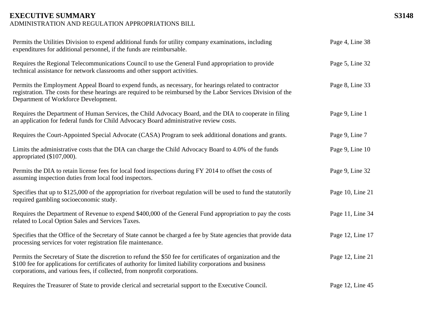| Permits the Utilities Division to expend additional funds for utility company examinations, including<br>expenditures for additional personnel, if the funds are reimbursable.                                                                                                                          | Page 4, Line 38  |
|---------------------------------------------------------------------------------------------------------------------------------------------------------------------------------------------------------------------------------------------------------------------------------------------------------|------------------|
| Requires the Regional Telecommunications Council to use the General Fund appropriation to provide<br>technical assistance for network classrooms and other support activities.                                                                                                                          | Page 5, Line 32  |
| Permits the Employment Appeal Board to expend funds, as necessary, for hearings related to contractor<br>registration. The costs for these hearings are required to be reimbursed by the Labor Services Division of the<br>Department of Workforce Development.                                         | Page 8, Line 33  |
| Requires the Department of Human Services, the Child Advocacy Board, and the DIA to cooperate in filing<br>an application for federal funds for Child Advocacy Board administrative review costs.                                                                                                       | Page 9, Line 1   |
| Requires the Court-Appointed Special Advocate (CASA) Program to seek additional donations and grants.                                                                                                                                                                                                   | Page 9, Line 7   |
| Limits the administrative costs that the DIA can charge the Child Advocacy Board to 4.0% of the funds<br>appropriated (\$107,000).                                                                                                                                                                      | Page 9, Line 10  |
| Permits the DIA to retain license fees for local food inspections during FY 2014 to offset the costs of<br>assuming inspection duties from local food inspectors.                                                                                                                                       | Page 9, Line 32  |
| Specifies that up to \$125,000 of the appropriation for riverboat regulation will be used to fund the statutorily<br>required gambling socioeconomic study.                                                                                                                                             | Page 10, Line 21 |
| Requires the Department of Revenue to expend \$400,000 of the General Fund appropriation to pay the costs<br>related to Local Option Sales and Services Taxes.                                                                                                                                          | Page 11, Line 34 |
| Specifies that the Office of the Secretary of State cannot be charged a fee by State agencies that provide data<br>processing services for voter registration file maintenance.                                                                                                                         | Page 12, Line 17 |
| Permits the Secretary of State the discretion to refund the \$50 fee for certificates of organization and the<br>\$100 fee for applications for certificates of authority for limited liability corporations and business<br>corporations, and various fees, if collected, from nonprofit corporations. | Page 12, Line 21 |
| Requires the Treasurer of State to provide clerical and secretarial support to the Executive Council.                                                                                                                                                                                                   | Page 12, Line 45 |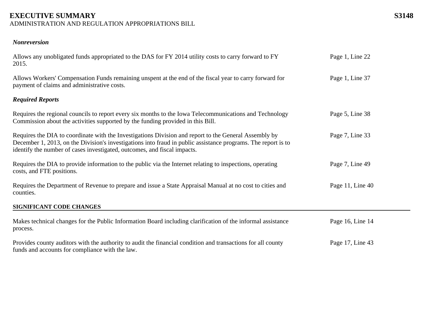#### **EXECUTIVE SUMMARY S3148**

ADMINISTRATION AND REGULATION APPROPRIATIONS BILL

#### *Nonreversion*

| Allows any unobligated funds appropriated to the DAS for FY 2014 utility costs to carry forward to FY<br>2015.                                                                                                                                                                                     | Page 1, Line 22  |
|----------------------------------------------------------------------------------------------------------------------------------------------------------------------------------------------------------------------------------------------------------------------------------------------------|------------------|
| Allows Workers' Compensation Funds remaining unspent at the end of the fiscal year to carry forward for<br>payment of claims and administrative costs.                                                                                                                                             | Page 1, Line 37  |
| <b>Required Reports</b>                                                                                                                                                                                                                                                                            |                  |
| Requires the regional councils to report every six months to the Iowa Telecommunications and Technology<br>Commission about the activities supported by the funding provided in this Bill.                                                                                                         | Page 5, Line 38  |
| Requires the DIA to coordinate with the Investigations Division and report to the General Assembly by<br>December 1, 2013, on the Division's investigations into fraud in public assistance programs. The report is to<br>identify the number of cases investigated, outcomes, and fiscal impacts. | Page 7, Line 33  |
| Requires the DIA to provide information to the public via the Internet relating to inspections, operating<br>costs, and FTE positions.                                                                                                                                                             | Page 7, Line 49  |
| Requires the Department of Revenue to prepare and issue a State Appraisal Manual at no cost to cities and<br>counties.                                                                                                                                                                             | Page 11, Line 40 |
| SIGNIFICANT CODE CHANGES                                                                                                                                                                                                                                                                           |                  |
| Makes technical changes for the Public Information Board including clarification of the informal assistance<br>process.                                                                                                                                                                            | Page 16, Line 14 |
| Provides county auditors with the authority to audit the financial condition and transactions for all county<br>funds and accounts for compliance with the law.                                                                                                                                    | Page 17, Line 43 |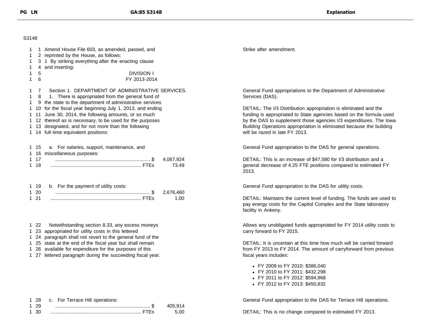#### S3148

| 1<br>1.<br>1.<br>1. | 1 Amend House File 603, as amended, passed, and<br>2 reprinted by the House, as follows:<br>3 1 By striking everything after the enacting clause<br>4 and inserting:               | Strike after amendment.                                                                                                                                                      |
|---------------------|------------------------------------------------------------------------------------------------------------------------------------------------------------------------------------|------------------------------------------------------------------------------------------------------------------------------------------------------------------------------|
| 1.<br>$\mathbf{1}$  | <b>DIVISION I</b><br>5<br>6<br>FY 2013-2014                                                                                                                                        |                                                                                                                                                                              |
| 1 7<br>1.<br>- 8    | Section 1. DEPARTMENT OF ADMINISTRATIVE SERVICES.<br>1. There is appropriated from the general fund of<br>1 9 the state to the department of administrative services               | General Fund appropriations to the Department of Administrative<br>Services (DAS).                                                                                           |
|                     | 1 10 for the fiscal year beginning July 1, 2013, and ending<br>1 11 June 30, 2014, the following amounts, or so much                                                               | DETAIL: The I/3 Distribution appropriation is eliminated and the<br>funding is appropriated to State agencies based on the formula used                                      |
|                     | 1 12 thereof as is necessary, to be used for the purposes<br>1 13 designated, and for not more than the following<br>1 14 full-time equivalent positions:                          | by the DAS to supplement those agencies I/3 expenditures. The lowa<br>Building Operations appropriation is eliminated because the building<br>will be razed in late FY 2013. |
| 1 15                | a. For salaries, support, maintenance, and<br>1 16 miscellaneous purposes:                                                                                                         | General Fund appropriation to the DAS for general operations.                                                                                                                |
| 1 17<br>118         | 4,067,924<br>73.49                                                                                                                                                                 | DETAIL: This is an increase of \$47,580 for I/3 distribution and a<br>general decrease of 4.25 FTE positions compared to estimated FY<br>2013.                               |
| 1 19<br>$120$       | b. For the payment of utility costs:<br>2,676,460                                                                                                                                  | General Fund appropriation to the DAS for utility costs.                                                                                                                     |
| 1 21                | 1.00                                                                                                                                                                               | DETAIL: Maintains the current level of funding. The funds are used to<br>pay energy costs for the Capitol Complex and the State laboratory<br>facility in Ankeny.            |
| 1 22                | Notwithstanding section 8.33, any excess moneys<br>1 23 appropriated for utility costs in this lettered<br>1 24 paragraph shall not revert to the general fund of the              | Allows any unobligated funds appropriated for FY 2014 utility costs to<br>carry forward to FY 2015.                                                                          |
|                     | 1 25 state at the end of the fiscal year but shall remain<br>1 26 available for expenditure for the purposes of this<br>1 27 lettered paragraph during the succeeding fiscal year. | DETAIL: It is uncertain at this time how much will be carried forward<br>from FY 2013 to FY 2014. The amount of carryforward from previous<br>fiscal years includes:         |
|                     |                                                                                                                                                                                    | • FY 2009 to FY 2010: \$386,040<br>• FY 2010 to FY 2011: \$432,298<br>• FY 2011 to FY 2012: \$594,968<br>• FY 2012 to FY 2013: \$450,832                                     |
| 128                 | c. For Terrace Hill operations:                                                                                                                                                    | General Fund appropriation to the DAS for Terrace Hill operations.                                                                                                           |

|         | 1 28 c. For Terrace Hill operations: |         |
|---------|--------------------------------------|---------|
| 1 29    |                                      | 405 914 |
| ี่ 1 30 |                                      | 5 N N   |

DETAIL: This is no change compared to estimated FY 2013.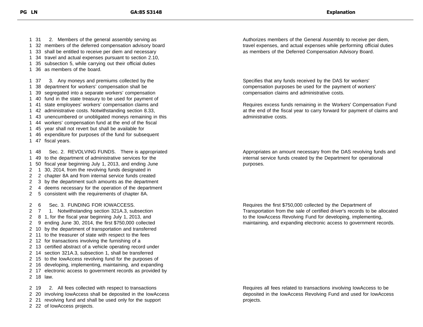31 2. Members of the general assembly serving as 32 members of the deferred compensation advisory board 33 shall be entitled to receive per diem and necessary 34 travel and actual expenses pursuant to section 2.10, 35 subsection 5, while carrying out their official duties 36 as members of the board. 37 3. Any moneys and premiums collected by the 38 department for workers' compensation shall be 39 segregated into a separate workers' compensation 40 fund in the state treasury to be used for payment of 41 state employees' workers' compensation claims and 42 administrative costs. Notwithstanding section 8.33, 43 unencumbered or unobligated moneys remaining in this 44 workers' compensation fund at the end of the fiscal 45 year shall not revert but shall be available for 46 expenditure for purposes of the fund for subsequent 47 fiscal years. 48 Sec. 2. REVOLVING FUNDS. There is appropriated 49 to the department of administrative services for the 50 fiscal year beginning July 1, 2013, and ending June 1 30, 2014, from the revolving funds designated in 2 chapter 8A and from internal service funds created 3 by the department such amounts as the department 4 deems necessary for the operation of the department 5 consistent with the requirements of chapter 8A. 6 Sec. 3. FUNDING FOR IOWACCESS. 7 1. Notwithstanding section 321A.3, subsection 8 1, for the fiscal year beginning July 1, 2013, and 9 ending June 30, 2014, the first \$750,000 collected 10 by the department of transportation and transferred 11 to the treasurer of state with respect to the fees 12 for transactions involving the furnishing of a 13 certified abstract of a vehicle operating record under 14 section 321A.3, subsection 1, shall be transferred 15 to the IowAccess revolving fund for the purposes of 16 developing, implementing, maintaining, and expanding 17 electronic access to government records as provided by 18 law. 19 2. All fees collected with respect to transactions

- 20 involving IowAccess shall be deposited in the IowAccess
- 21 revolving fund and shall be used only for the support

22 of IowAccess projects.

Authorizes members of the General Assembly to receive per diem, travel expenses, and actual expenses while performing official duties as members of the Deferred Compensation Advisory Board.

Specifies that any funds received by the DAS for workers' compensation purposes be used for the payment of workers' compensation claims and administrative costs.

Requires excess funds remaining in the Workers' Compensation Fund at the end of the fiscal year to carry forward for payment of claims and administrative costs.

Appropriates an amount necessary from the DAS revolving funds and internal service funds created by the Department for operational purposes.

Requires the first \$750,000 collected by the Department of Transportation from the sale of certified driver's records to be allocated to the IowAccess Revolving Fund for developing, implementing, maintaining, and expanding electronic access to government records.

Requires all fees related to transactions involving IowAccess to be deposited in the IowAccess Revolving Fund and used for IowAccess projects.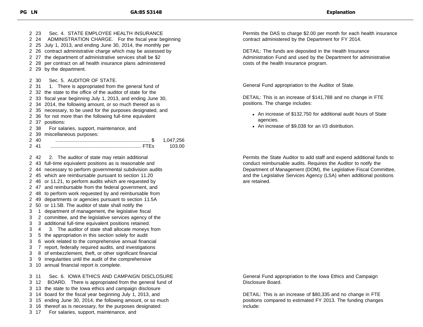23 Sec. 4. STATE EMPLOYEE HEALTH INSURANCE 24 ADMINISTRATION CHARGE. For the fiscal year beginning 25 July 1, 2013, and ending June 30, 2014, the monthly per 26 contract administrative charge which may be assessed by 27 the department of administrative services shall be \$2 28 per contract on all health insurance plans administered 29 by the department. 30 Sec. 5. AUDITOR OF STATE. 2 31 1. There is appropriated from the general fund of 32 the state to the office of the auditor of state for the 33 fiscal year beginning July 1, 2013, and ending June 30, 34 2014, the following amount, or so much thereof as is 35 necessary, to be used for the purposes designated, and 36 for not more than the following full-time equivalent 37 positions: 38 For salaries, support, maintenance, and 39 miscellaneous purposes: 40 ...................................................................... \$ 1,047,256 41 ................................................................... FTEs 103.00 42 2. The auditor of state may retain additional 43 full-time equivalent positions as is reasonable and 44 necessary to perform governmental subdivision audits 45 which are reimbursable pursuant to section 11.20 46 or 11.21, to perform audits which are requested by 47 and reimbursable from the federal government, and 48 to perform work requested by and reimbursable from 49 departments or agencies pursuant to section 11.5A 50 or 11.5B. The auditor of state shall notify the 1 department of management, the legislative fiscal 2 committee, and the legislative services agency of the 3 additional full-time equivalent positions retained. 4 3. The auditor of state shall allocate moneys from 5 the appropriation in this section solely for audit 6 work related to the comprehensive annual financial 7 report, federally required audits, and investigations 8 of embezzlement, theft, or other significant financial 9 irregularities until the audit of the comprehensive 10 annual financial report is complete. 11 Sec. 6. IOWA ETHICS AND CAMPAIGN DISCLOSURE 12 BOARD. There is appropriated from the general fund of 13 the state to the Iowa ethics and campaign disclosure 14 board for the fiscal year beginning July 1, 2013, and 15 ending June 30, 2014, the following amount, or so much 16 thereof as is necessary, for the purposes designated:

17 For salaries, support, maintenance, and

Permits the DAS to charge \$2.00 per month for each health insurance contract administered by the Department for FY 2014.

DETAIL: The funds are deposited in the Health Insurance Administration Fund and used by the Department for administrative costs of the health insurance program.

General Fund appropriation to the Auditor of State.

DETAIL: This is an increase of \$141,788 and no change in FTE positions. The change includes:

- An increase of \$132,750 for additional audit hours of State agencies.
- An increase of \$9,038 for an I/3 distribution.

Permits the State Auditor to add staff and expend additional funds to conduct reimbursable audits. Requires the Auditor to notify the Department of Management (DOM), the Legislative Fiscal Committee, and the Legislative Services Agency (LSA) when additional positions are retained.

General Fund appropriation to the Iowa Ethics and Campaign Disclosure Board.

DETAIL: This is an increase of \$80,335 and no change in FTE positions compared to estimated FY 2013. The funding changes include: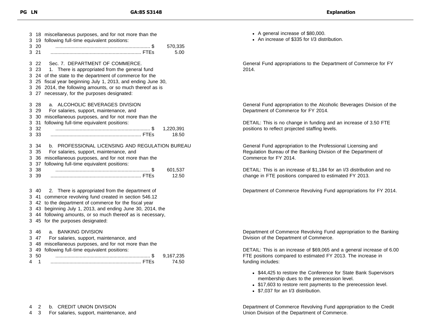| 3<br>3                     | 18<br>19                         | miscellaneous purposes, and for not more than the<br>following full-time equivalent positions:                                                                                                                                                                                                                  |
|----------------------------|----------------------------------|-----------------------------------------------------------------------------------------------------------------------------------------------------------------------------------------------------------------------------------------------------------------------------------------------------------------|
| 3<br>3                     | 20<br>21                         | 570,335<br>5.00                                                                                                                                                                                                                                                                                                 |
| 3<br>3<br>3<br>3<br>3<br>3 | 22<br>23<br>24<br>25<br>26<br>27 | Sec. 7. DEPARTMENT OF COMMERCE.<br>1. There is appropriated from the general fund<br>of the state to the department of commerce for the<br>fiscal year beginning July 1, 2013, and ending June 30,<br>2014, the following amounts, or so much thereof as is<br>necessary, for the purposes designated:          |
| 3<br>3<br>3<br>3<br>3      | 28<br>29<br>30<br>-31<br>32      | ALCOHOLIC BEVERAGES DIVISION<br>a.<br>For salaries, support, maintenance, and<br>miscellaneous purposes, and for not more than the<br>following full-time equivalent positions:<br>1,220,391                                                                                                                    |
| 3                          | 33                               | 18.50                                                                                                                                                                                                                                                                                                           |
| 3<br>3<br>3<br>3           | 34<br>35<br>36<br>37             | PROFESSIONAL LICENSING AND REGULATION BUREAU<br>b.<br>For salaries, support, maintenance, and<br>miscellaneous purposes, and for not more than the<br>following full-time equivalent positions:                                                                                                                 |
| 3<br>3                     | -38<br>39                        | 601,537<br>12.50                                                                                                                                                                                                                                                                                                |
| 3<br>3<br>3<br>3<br>3<br>3 | 40<br>41<br>42<br>43<br>44<br>45 | There is appropriated from the department of<br>2.<br>commerce revolving fund created in section 546.12<br>to the department of commerce for the fiscal year<br>beginning July 1, 2013, and ending June 30, 2014, the<br>following amounts, or so much thereof as is necessary,<br>for the purposes designated: |
| 3<br>3<br>3<br>3           | 46<br>47<br>48<br>49             | <b>BANKING DIVISION</b><br>a.<br>For salaries, support, maintenance, and<br>miscellaneous purposes, and for not more than the<br>following full-time equivalent positions:                                                                                                                                      |
| 3<br>4                     | 50<br>1                          | 9,167,235<br>74.50                                                                                                                                                                                                                                                                                              |

4 2 b. CREDIT UNION DIVISION

4 3 For salaries, support, maintenance, and

- A general increase of \$80,000.
- An increase of \$335 for I/3 distribution.

General Fund appropriations to the Department of Commerce for FY 2014.

General Fund appropriation to the Alcoholic Beverages Division of the Department of Commerce for FY 2014.

DETAIL: This is no change in funding and an increase of 3.50 FTE positions to reflect projected staffing levels.

General Fund appropriation to the Professional Licensing and Regulation Bureau of the Banking Division of the Department of Commerce for FY 2014.

DETAIL: This is an increase of \$1,184 for an I/3 distribution and no change in FTE positions compared to estimated FY 2013.

Department of Commerce Revolving Fund appropriations for FY 2014.

Department of Commerce Revolving Fund appropriation to the Banking Division of the Department of Commerce.

DETAIL: This is an increase of \$69,065 and a general increase of 6.00 FTE positions compared to estimated FY 2013. The increase in funding includes:

- \$44,425 to restore the Conference for State Bank Supervisors membership dues to the prerecession level.
- \$17,603 to restore rent payments to the prerecession level.
- \$7,037 for an I/3 distribution.

Department of Commerce Revolving Fund appropriation to the Credit Union Division of the Department of Commerce.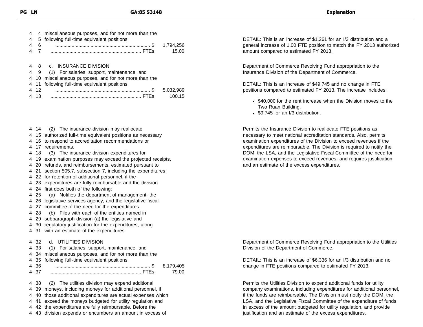| $\overline{4}$ |      | 4 miscellaneous purposes, and for not more than the    |           |
|----------------|------|--------------------------------------------------------|-----------|
| 4              |      | 5 following full-time equivalent positions:            |           |
| 4              | 6    |                                                        | 1,794,256 |
|                |      |                                                        | 15.00     |
|                |      |                                                        |           |
| 4              |      | 8 c. INSURANCE DIVISION                                |           |
|                |      | 4 9 (1) For salaries, support, maintenance, and        |           |
|                |      | 4 10 miscellaneous purposes, and for not more than the |           |
|                |      | 4 11 following full-time equivalent positions:         |           |
|                | 4 12 |                                                        | 5.032.989 |

4 13 ................................................................... FTEs 100.15

- 4 14 (2) The insurance division may reallocate
- 4 15 authorized full-time equivalent positions as necessary
- 4 16 to respond to accreditation recommendations or
- 4 17 requirements.
- 4 18 (3) The insurance division expenditures for
- 4 19 examination purposes may exceed the projected receipts,
- 4 20 refunds, and reimbursements, estimated pursuant to
- 4 21 section 505.7, subsection 7, including the expenditures
- 4 22 for retention of additional personnel, if the
- 4 23 expenditures are fully reimbursable and the division
- 4 24 first does both of the following:
- 4 25 (a) Notifies the department of management, the
- 4 26 legislative services agency, and the legislative fiscal
- 4 27 committee of the need for the expenditures.
- 4 28 (b) Files with each of the entities named in
- 4 29 subparagraph division (a) the legislative and
- 4 30 regulatory justification for the expenditures, along
- 4 31 with an estimate of the expenditures.

#### 4 32 d. UTILITIES DIVISION

|      | 4 33 (1) For salaries, support, maintenance, and           |           |
|------|------------------------------------------------------------|-----------|
|      | 4 34 miscellaneous purposes, and for not more than the     |           |
|      | 4 35 following full-time equivalent positions:             |           |
| 4 36 |                                                            | 8.179.405 |
| 4 37 |                                                            | 79.00     |
|      |                                                            |           |
|      | 4 38 (2) The utilities division may expend additional      |           |
|      | 4 39 moneys, including moneys for additional personnel, if |           |

- 4 40 those additional expenditures are actual expenses which
- 4 41 exceed the moneys budgeted for utility regulation and
- 4 42 the expenditures are fully reimbursable. Before the
- 4 43 division expends or encumbers an amount in excess of

DETAIL: This is an increase of \$1,261 for an I/3 distribution and a general increase of 1.00 FTE position to match the FY 2013 authorized amount compared to estimated FY 2013.

Department of Commerce Revolving Fund appropriation to the Insurance Division of the Department of Commerce.

DETAIL: This is an increase of \$49,745 and no change in FTE positions compared to estimated FY 2013. The increase includes:

- \$40,000 for the rent increase when the Division moves to the Two Ruan Building.
- \$9.745 for an I/3 distribution.

Permits the Insurance Division to reallocate FTE positions as necessary to meet national accreditation standards. Also, permits examination expenditures of the Division to exceed revenues if the expenditures are reimbursable. The Division is required to notify the DOM, the LSA, and the Legislative Fiscal Committee of the need for examination expenses to exceed revenues, and requires justification and an estimate of the excess expenditures.

Department of Commerce Revolving Fund appropriation to the Utilities Division of the Department of Commerce.

DETAIL: This is an increase of \$6,336 for an I/3 distribution and no change in FTE positions compared to estimated FY 2013.

Permits the Utilities Division to expend additional funds for utility company examinations, including expenditures for additional personnel, if the funds are reimbursable. The Division must notify the DOM, the LSA, and the Legislative Fiscal Committee of the expenditure of funds in excess of the amount budgeted for utility regulation, and provide justification and an estimate of the excess expenditures.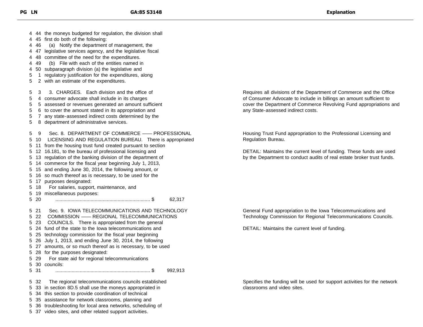| 446<br>4<br>4<br>49<br>4<br>5<br>5                                         | 4 44 the moneys budgeted for regulation, the division shall<br>4 45 first do both of the following:<br>(a) Notify the department of management, the<br>4 47 legislative services agency, and the legislative fiscal<br>48 committee of the need for the expenditures.<br>(b) File with each of the entities named in<br>50 subparagraph division (a) the legislative and<br>1 regulatory justification for the expenditures, along<br>2 with an estimate of the expenditures.                                                                                                                |
|----------------------------------------------------------------------------|----------------------------------------------------------------------------------------------------------------------------------------------------------------------------------------------------------------------------------------------------------------------------------------------------------------------------------------------------------------------------------------------------------------------------------------------------------------------------------------------------------------------------------------------------------------------------------------------|
| 5<br>3<br>5<br>5<br>5<br>5<br>5                                            | 3. CHARGES. Each division and the office of<br>4 consumer advocate shall include in its charges<br>5 assessed or revenues generated an amount sufficient<br>6 to cover the amount stated in its appropriation and<br>7 any state-assessed indirect costs determined by the<br>8 department of administrative services.                                                                                                                                                                                                                                                                       |
| 5<br>9<br>5<br>5<br>5<br>5<br>5<br>5<br>5<br>5.<br>5<br>18<br>5<br>5<br>20 | Sec. 8. DEPARTMENT OF COMMERCE - PROFESSIONAL<br>10 LICENSING AND REGULATION BUREAU. There is appropriated<br>11 from the housing trust fund created pursuant to section<br>12 16.181, to the bureau of professional licensing and<br>13 regulation of the banking division of the department of<br>14 commerce for the fiscal year beginning July 1, 2013,<br>15 and ending June 30, 2014, the following amount, or<br>16 so much thereof as is necessary, to be used for the<br>17 purposes designated:<br>For salaries, support, maintenance, and<br>19 miscellaneous purposes:<br>62,317 |
| 21<br>5<br>5 22<br>5 23<br>5<br>5 29<br>5 31                               | Sec. 9. IOWA TELECOMMUNICATIONS AND TECHNOLOGY<br>COMMISSION - REGIONAL TELECOMMUNICATIONS<br>COUNCILS. There is appropriated from the general<br>5 24 fund of the state to the lowa telecommunications and<br>5 25 technology commission for the fiscal year beginning<br>26 July 1, 2013, and ending June 30, 2014, the following<br>5 27 amounts, or so much thereof as is necessary, to be used<br>5 28 for the purposes designated:<br>For state aid for regional telecommunications<br>5 30 councils:<br>. \$<br>992,913                                                               |
| 32<br>5<br>5<br>5                                                          | The regional telecommunications councils established<br>33 in section 8D.5 shall use the moneys appropriated in<br>34 this section to provide coordination of technical<br>5 35 assistance for network classrooms, planning and<br>5 36 troubleshooting for local area networks, scheduling of<br>5 37 video sites, and other related support activities.                                                                                                                                                                                                                                    |

Requires all divisions of the Department of Commerce and the Office of Consumer Advocate to include in billings an amount sufficient to cover the Department of Commerce Revolving Fund appropriations and any State-assessed indirect costs.

Housing Trust Fund appropriation to the Professional Licensing and Regulation Bureau.

DETAIL: Maintains the current level of funding. These funds are used by the Department to conduct audits of real estate broker trust funds.

General Fund appropriation to the Iowa Telecommunications and Technology Commission for Regional Telecommunications Councils.

DETAIL: Maintains the current level of funding.

Specifies the funding will be used for support activities for the network classrooms and video sites.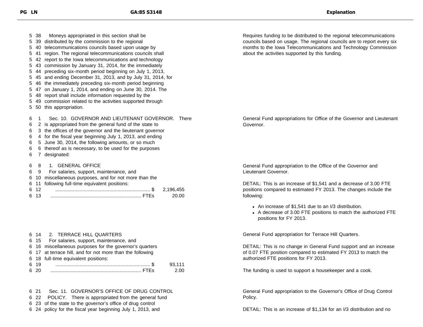| Moneys appropriated in this section shall be<br>5.<br>-38<br>distributed by the commission to the regional<br>39<br>5<br>telecommunications councils based upon usage by<br>40<br>5<br>region. The regional telecommunications councils shall<br>5<br>report to the lowa telecommunications and technology<br>42<br>5<br>commission by January 31, 2014, for the immediately<br>43<br>44 preceding six-month period beginning on July 1, 2013,<br>45 and ending December 31, 2013, and by July 31, 2014, for<br>the immediately preceding six-month period beginning<br>46<br>47 on January 1, 2014, and ending on June 30, 2014. The<br>5<br>48 report shall include information requested by the<br>5.<br>49 commission related to the activities supported through<br>this appropriation.<br>50<br>5. | Requires funding to be distributed to the regional telecommunications<br>councils based on usage. The regional councils are to report every six<br>months to the Iowa Telecommunications and Technology Commission<br>about the activities supported by this funding. |
|----------------------------------------------------------------------------------------------------------------------------------------------------------------------------------------------------------------------------------------------------------------------------------------------------------------------------------------------------------------------------------------------------------------------------------------------------------------------------------------------------------------------------------------------------------------------------------------------------------------------------------------------------------------------------------------------------------------------------------------------------------------------------------------------------------|-----------------------------------------------------------------------------------------------------------------------------------------------------------------------------------------------------------------------------------------------------------------------|
| Sec. 10. GOVERNOR AND LIEUTENANT GOVERNOR. There<br>6<br>2 is appropriated from the general fund of the state to<br>6<br>3 the offices of the governor and the lieutenant governor<br>6<br>4 for the fiscal year beginning July 1, 2013, and ending<br>6<br>5 June 30, 2014, the following amounts, or so much<br>6<br>6 thereof as is necessary, to be used for the purposes<br>6<br>designated:<br>6                                                                                                                                                                                                                                                                                                                                                                                                   | General Fund appropriations for Office of the Governor and Lieutenant<br>Governor.                                                                                                                                                                                    |
| 1. GENERAL OFFICE<br>6<br>8<br>For salaries, support, maintenance, and<br>9<br>6<br>miscellaneous purposes, and for not more than the<br>6<br>10                                                                                                                                                                                                                                                                                                                                                                                                                                                                                                                                                                                                                                                         | General Fund appropriation to the Office of the Governor and<br>Lieutenant Governor.                                                                                                                                                                                  |
| following full-time equivalent positions:<br>6<br>11<br>6 12<br>2,196,455<br>13<br>6<br>20.00                                                                                                                                                                                                                                                                                                                                                                                                                                                                                                                                                                                                                                                                                                            | DETAIL: This is an increase of \$1,541 and a decrease of 3.00 FTE<br>positions compared to estimated FY 2013. The changes include the<br>following:                                                                                                                   |
|                                                                                                                                                                                                                                                                                                                                                                                                                                                                                                                                                                                                                                                                                                                                                                                                          | • An increase of \$1,541 due to an I/3 distribution.<br>• A decrease of 3.00 FTE positions to match the authorized FTE<br>positions for FY 2013.                                                                                                                      |

| 6 15 For salaries, support, maintenance, and<br>6 16 miscellaneous purposes for the governor's quarters<br>6 17 at terrace hill, and for not more than the following<br>6 18 full-time equivalent positions:<br>6 19 |        |
|----------------------------------------------------------------------------------------------------------------------------------------------------------------------------------------------------------------------|--------|
|                                                                                                                                                                                                                      |        |
|                                                                                                                                                                                                                      |        |
|                                                                                                                                                                                                                      |        |
|                                                                                                                                                                                                                      |        |
|                                                                                                                                                                                                                      | 93.111 |
| 6 20                                                                                                                                                                                                                 | 2.00   |

#### 21 Sec. 11. GOVERNOR'S OFFICE OF DRUG CONTROL 22 POLICY. There is appropriated from the general fund

23 of the state to the governor's office of drug control

24 policy for the fiscal year beginning July 1, 2013, and

General Fund appropriation for Terrace Hill Quarters.

DETAIL: This is no change in General Fund support and an increase of 0.07 FTE position compared to estimated FY 2013 to match the authorized FTE positions for FY 2013.

The funding is used to support a housekeeper and a cook.

General Fund appropriation to the Governor's Office of Drug Control Policy.

DETAIL: This is an increase of \$1,134 for an I/3 distribution and no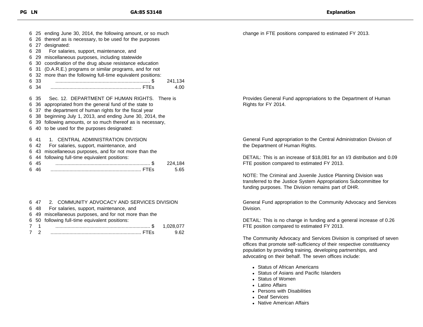|   |     | 6 25 ending June 30, 2014, the following amount, or so much |
|---|-----|-------------------------------------------------------------|
| 6 |     | 26 thereof as is necessary, to be used for the purposes     |
| 6 | 27  | designated:                                                 |
| 6 | 28  | For salaries, support, maintenance, and                     |
| 6 | -29 | miscellaneous purposes, including statewide                 |
| 6 | 30  | coordination of the drug abuse resistance education         |
| 6 | 31  | (D.A.R.E.) programs or similar programs, and for not        |
| 6 | 32  | more than the following full-time equivalent positions:     |
| 6 | -33 | 241,134                                                     |
| 6 | 34  | 4.00                                                        |
|   |     |                                                             |
| 6 | -35 | Sec. 12. DEPARTMENT OF HUMAN RIGHTS. There is               |
| 6 | 36  | appropriated from the general fund of the state to          |
| 6 | 37  | the department of human rights for the fiscal year          |
| 6 | 38  | beginning July 1, 2013, and ending June 30, 2014, the       |
| 6 |     | 39 following amounts, or so much thereof as is necessary,   |
| 6 |     | 40 to be used for the purposes designated:                  |
|   |     |                                                             |
| 6 | 41  | CENTRAL ADMINISTRATION DIVISION<br>1.                       |
| 6 | 42  | For salaries, support, maintenance, and                     |
| 6 | 43  | miscellaneous purposes, and for not more than the           |
| 6 | 44  | following full-time equivalent positions:                   |
| 6 | 45  | 224,184                                                     |
| 6 | 46  | 5.65                                                        |

|     | 6 47 2. COMMUNITY ADVOCACY AND SERVICES DIVISION       |      |
|-----|--------------------------------------------------------|------|
|     | 6 48 For salaries, support, maintenance, and           |      |
|     | 6 49 miscellaneous purposes, and for not more than the |      |
|     | 6 50 following full-time equivalent positions:         |      |
| 7 1 |                                                        |      |
| 7 2 |                                                        | 9.62 |

change in FTE positions compared to estimated FY 2013.

Provides General Fund appropriations to the Department of Human Rights for FY 2014.

General Fund appropriation to the Central Administration Division of the Department of Human Rights.

DETAIL: This is an increase of \$18,081 for an I/3 distribution and 0.09 FTE position compared to estimated FY 2013.

NOTE: The Criminal and Juvenile Justice Planning Division was transferred to the Justice System Appropriations Subcommittee for funding purposes. The Division remains part of DHR.

General Fund appropriation to the Community Advocacy and Services Division.

DETAIL: This is no change in funding and a general increase of 0.26 FTE position compared to estimated FY 2013.

The Community Advocacy and Services Division is comprised of seven offices that promote self-sufficiency of their respective constituency population by providing training, developing partnerships, and advocating on their behalf. The seven offices include:

- Status of African Americans
- Status of Asians and Pacific Islanders
- Status of Women
- Latino Affairs
- Persons with Disabilities
- Deaf Services
- Native American Affairs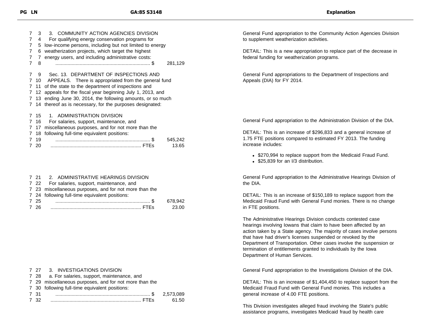| 7 | 3    | 3. COMMUNITY ACTION AGENCIES DIVISION                    |
|---|------|----------------------------------------------------------|
| 7 | 4    | For qualifying energy conservation programs for          |
| 7 | 5    | low-income persons, including but not limited to energy  |
| 7 | 6    | weatherization projects, which target the highest        |
| 7 | 7    | energy users, and including administrative costs:        |
| 7 | 8    | 281,129                                                  |
| 7 | 9    | Sec. 13. DEPARTMENT OF INSPECTIONS AND                   |
| 7 | 10   | APPEALS. There is appropriated from the general fund     |
| 7 | 11   | of the state to the department of inspections and        |
| 7 | -12  | appeals for the fiscal year beginning July 1, 2013, and  |
| 7 | -13  | ending June 30, 2014, the following amounts, or so much  |
| 7 |      | 14 thereof as is necessary, for the purposes designated: |
| 7 | 15   | 1. ADMINISTRATION DIVISION                               |
| 7 | - 16 | For salaries, support, maintenance, and                  |
| 7 | -17  | miscellaneous purposes, and for not more than the        |
| 7 | 18   | following full-time equivalent positions:                |
| 7 | 19   | 545,242                                                  |
| 7 | 20   | 13.65                                                    |
|   |      |                                                          |
|   |      |                                                          |
|   |      |                                                          |

#### 7 21 2. ADMINISTRATIVE HEARINGS DIVISION 7 22 For salaries, support, maintenance, and 7 23 miscellaneous purposes, and for not more than the 7 24 following full-time equivalent positions:

|      | 7 27 3. INVESTIGATIONS DIVISION                        |       |
|------|--------------------------------------------------------|-------|
|      | 7 28 a. For salaries, support, maintenance, and        |       |
|      | 7 29 miscellaneous purposes, and for not more than the |       |
|      | 7 30 following full-time equivalent positions:         |       |
| 731  |                                                        |       |
| 7 32 |                                                        | 61.50 |

General Fund appropriation to the Community Action Agencies Division to supplement weatherization activities.

DETAIL: This is a new appropriation to replace part of the decrease in federal funding for weatherization programs.

General Fund appropriations to the Department of Inspections and Appeals (DIA) for FY 2014.

General Fund appropriation to the Administration Division of the DIA.

DETAIL: This is an increase of \$296,833 and a general increase of 1.75 FTE positions compared to estimated FY 2013. The funding increase includes:

- \$270,994 to replace support from the Medicaid Fraud Fund.
- \$25,839 for an I/3 distribution.

General Fund appropriation to the Administrative Hearings Division of the DIA.

DETAIL: This is an increase of \$150,189 to replace support from the Medicaid Fraud Fund with General Fund monies. There is no change in FTE positions.

The Administrative Hearings Division conducts contested case hearings involving Iowans that claim to have been affected by an action taken by a State agency. The majority of cases involve persons that have had driver's licenses suspended or revoked by the Department of Transportation. Other cases involve the suspension or termination of entitlements granted to individuals by the Iowa Department of Human Services.

General Fund appropriation to the Investigations Division of the DIA.

DETAIL: This is an increase of \$1,404,450 to replace support from the Medicaid Fraud Fund with General Fund monies. This includes a general increase of 4.00 FTE positions.

This Division investigates alleged fraud involving the State's public assistance programs, investigates Medicaid fraud by health care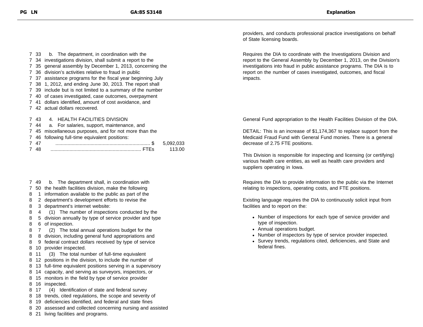- 33 b. The department, in coordination with the 34 investigations division, shall submit a report to the 35 general assembly by December 1, 2013, concerning the 36 division's activities relative to fraud in public 37 assistance programs for the fiscal year beginning July 38 1, 2012, and ending June 30, 2013. The report shall 39 include but is not limited to a summary of the number 40 of cases investigated, case outcomes, overpayment 41 dollars identified, amount of cost avoidance, and 42 actual dollars recovered. 43 4. HEALTH FACILITIES DIVISION
- 44 a. For salaries, support, maintenance, and
- 45 miscellaneous purposes, and for not more than the
- 46 following full-time equivalent positions:

- 49 b. The department shall, in coordination with
- 50 the health facilities division, make the following
- 1 information available to the public as part of the
- 2 department's development efforts to revise the
- 3 department's internet website:
- 4 (1) The number of inspections conducted by the
- 5 division annually by type of service provider and type 6 of inspection.
- 7 (2) The total annual operations budget for the
- 8 division, including general fund appropriations and
- 9 federal contract dollars received by type of service
- 10 provider inspected.
- 11 (3) The total number of full-time equivalent
- 12 positions in the division, to include the number of
- 13 full-time equivalent positions serving in a supervisory
- 14 capacity, and serving as surveyors, inspectors, or
- 15 monitors in the field by type of service provider
- 16 inspected.
- 17 (4) Identification of state and federal survey
- 18 trends, cited regulations, the scope and severity of
- 19 deficiencies identified, and federal and state fines
- 20 assessed and collected concerning nursing and assisted
- 21 living facilities and programs.

providers, and conducts professional practice investigations on behalf of State licensing boards.

Requires the DIA to coordinate with the Investigations Division and report to the General Assembly by December 1, 2013, on the Division's investigations into fraud in public assistance programs. The DIA is to report on the number of cases investigated, outcomes, and fiscal impacts.

General Fund appropriation to the Health Facilities Division of the DIA.

DETAIL: This is an increase of \$1,174,367 to replace support from the Medicaid Fraud Fund with General Fund monies. There is a general decrease of 2.75 FTE positions.

This Division is responsible for inspecting and licensing (or certifying) various health care entities, as well as health care providers and suppliers operating in Iowa.

Requires the DIA to provide information to the public via the Internet relating to inspections, operating costs, and FTE positions.

Existing language requires the DIA to continuously solicit input from facilities and to report on the:

- Number of inspections for each type of service provider and type of inspection.
- Annual operations budget.
- Number of inspectors by type of service provider inspected.
- Survey trends, regulations cited, deficiencies, and State and federal fines.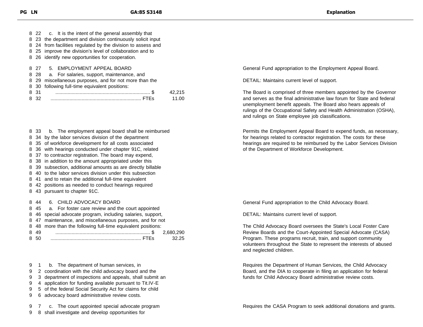|      | 8 22 c. It is the intent of the general assembly that        |
|------|--------------------------------------------------------------|
|      | 8 23 the department and division continuously solicit input  |
|      | 8 24 from facilities regulated by the division to assess and |
|      | 8 25 improve the division's level of collaboration and to    |
|      | 8 26 identify new opportunities for cooperation.             |
|      |                                                              |
| 8 27 | 5. EMPLOYMENT APPEAL BOARD                                   |
| 8 28 | a. For salaries, support, maintenance, and                   |
| 8 29 | miscellaneous purposes, and for not more than the            |

|  |  | 8 30 following full-time equivalent positions: |  |
|--|--|------------------------------------------------|--|

 33 b. The employment appeal board shall be reimbursed 34 by the labor services division of the department 35 of workforce development for all costs associated 36 with hearings conducted under chapter 91C, related 37 to contractor registration. The board may expend, 38 in addition to the amount appropriated under this 39 subsection, additional amounts as are directly billable 40 to the labor services division under this subsection 41 and to retain the additional full-time equivalent 42 positions as needed to conduct hearings required 43 pursuant to chapter 91C.

44 6. CHILD ADVOCACY BOARD

|       | 8 45 a. For foster care review and the court appointed       |         |
|-------|--------------------------------------------------------------|---------|
|       | 8 46 special advocate program, including salaries, support,  |         |
|       | 8 47 maintenance, and miscellaneous purposes, and for not    |         |
|       | 8 48 more than the following full-time equivalent positions: |         |
| 8 4 9 |                                                              |         |
| 8 50  |                                                              | - 32.25 |
|       |                                                              |         |

- 1 b. The department of human services, in
- 2 coordination with the child advocacy board and the
- 3 department of inspections and appeals, shall submit an
- 4 application for funding available pursuant to Tit.IV-E
- 5 of the federal Social Security Act for claims for child
- 6 advocacy board administrative review costs.

7 c. The court appointed special advocate program

8 shall investigate and develop opportunities for

General Fund appropriation to the Employment Appeal Board.

DETAIL: Maintains current level of support.

The Board is comprised of three members appointed by the Governor and serves as the final administrative law forum for State and federal unemployment benefit appeals. The Board also hears appeals of rulings of the Occupational Safety and Health Administration (OSHA), and rulings on State employee job classifications.

Permits the Employment Appeal Board to expend funds, as necessary, for hearings related to contractor registration. The costs for these hearings are required to be reimbursed by the Labor Services Division of the Department of Workforce Development.

General Fund appropriation to the Child Advocacy Board.

DETAIL: Maintains current level of support.

The Child Advocacy Board oversees the State's Local Foster Care Review Boards and the Court-Appointed Special Advocate (CASA) Program. These programs recruit, train, and support community volunteers throughout the State to represent the interests of abused and neglected children.

Requires the Department of Human Services, the Child Advocacy Board, and the DIA to cooperate in filing an application for federal funds for Child Advocacy Board administrative review costs.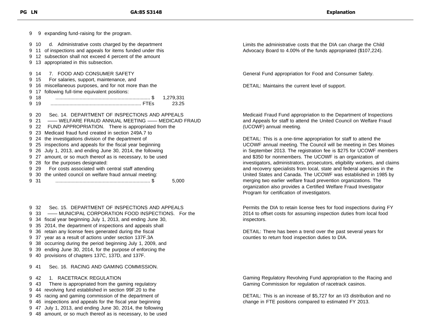9 expanding fund-raising for the program. 10 d. Administrative costs charged by the department 11 of inspections and appeals for items funded under this 12 subsection shall not exceed 4 percent of the amount 13 appropriated in this subsection. 14 7. FOOD AND CONSUMER SAFETY 15 For salaries, support, maintenance, and 16 miscellaneous purposes, and for not more than the 17 following full-time equivalent positions: 18 ...................................................................... \$ 1,279,331 19 ................................................................... FTEs 23.25 20 Sec. 14. DEPARTMENT OF INSPECTIONS AND APPEALS 21 —— WELFARE FRAUD ANNUAL MEETING —— MEDICAID FRAUD 22 FUND APPROPRIATION. There is appropriated from the 23 Medicaid fraud fund created in section 249A.7 to 24 the investigations division of the department of 25 inspections and appeals for the fiscal year beginning 26 July 1, 2013, and ending June 30, 2014, the following 27 amount, or so much thereof as is necessary, to be used 28 for the purposes designated: 29 For costs associated with central staff attending 30 the united council on welfare fraud annual meeting: 31 ...................................................................... \$ 5,000

 32 Sec. 15. DEPARTMENT OF INSPECTIONS AND APPEALS 33 —— MUNICIPAL CORPORATION FOOD INSPECTIONS. For the 34 fiscal year beginning July 1, 2013, and ending June 30, 35 2014, the department of inspections and appeals shall 36 retain any license fees generated during the fiscal 37 year as a result of actions under section 137F.3A

- 9 38 occurring during the period beginning July 1, 2009, and
- 9 39 ending June 30, 2014, for the purpose of enforcing the
- 9 40 provisions of chapters 137C, 137D, and 137F.

9 41 Sec. 16. RACING AND GAMING COMMISSION.

- 9 42 1. RACETRACK REGULATION
- 9 43 There is appropriated from the gaming regulatory
- 9 44 revolving fund established in section 99F.20 to the
- 9 45 racing and gaming commission of the department of
- 9 46 inspections and appeals for the fiscal year beginning
- 9 47 July 1, 2013, and ending June 30, 2014, the following
- 9 48 amount, or so much thereof as is necessary, to be used

Limits the administrative costs that the DIA can charge the Child Advocacy Board to 4.00% of the funds appropriated (\$107,224).

General Fund appropriation for Food and Consumer Safety.

DETAIL: Maintains the current level of support.

Medicaid Fraud Fund appropriation to the Department of Inspections and Appeals for staff to attend the United Council on Welfare Fraud (UCOWF) annual meeting.

DETAIL: This is a one-time appropriation for staff to attend the UCOWF annual meeting. The Council will be meeting in Des Moines in September 2013. The registration fee is \$275 for UCOWF members and \$350 for nonmembers. The UCOWF is an organization of investigators, administrators, prosecutors, eligibility workers, and claims and recovery specialists from local, state and federal agencies in the United States and Canada. The UCOWF was established in 1985 by merging two earlier welfare fraud prevention organizations. The organization also provides a Certified Welfare Fraud Investigator Program for certification of investigators.

Permits the DIA to retain license fees for food inspections during FY 2014 to offset costs for assuming inspection duties from local food inspectors.

DETAIL: There has been a trend over the past several years for counties to return food inspection duties to DIA.

Gaming Regulatory Revolving Fund appropriation to the Racing and Gaming Commission for regulation of racetrack casinos.

DETAIL: This is an increase of \$5,727 for an I/3 distribution and no change in FTE positions compared to estimated FY 2013.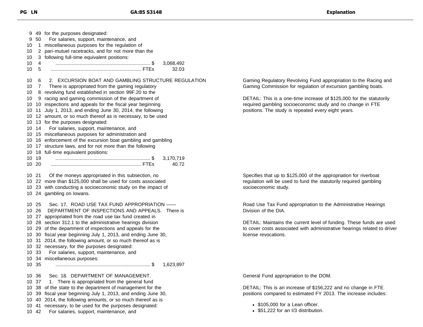49 for the purposes designated: 50 For salaries, support, maintenance, and 10 1 miscellaneous purposes for the regulation of 2 pari-mutuel racetracks, and for not more than the 3 following full-time equivalent positions: 4 ...................................................................... \$ 3,068,492 5 ................................................................... FTEs 32.03 6 2. EXCURSION BOAT AND GAMBLING STRUCTURE REGULATION 7 There is appropriated from the gaming regulatory 8 revolving fund established in section 99F.20 to the 9 racing and gaming commission of the department of 10 inspections and appeals for the fiscal year beginning 11 July 1, 2013, and ending June 30, 2014, the following 12 amount, or so much thereof as is necessary, to be used 13 for the purposes designated: 14 For salaries, support, maintenance, and 15 miscellaneous purposes for administration and 16 enforcement of the excursion boat gambling and gambling 17 structure laws, and for not more than the following 18 full-time equivalent positions: 19 ...................................................................... \$ 3,170,719 20 ................................................................... FTEs 40.72 21 Of the moneys appropriated in this subsection, no 22 more than \$125,000 shall be used for costs associated 23 with conducting a socioeconomic study on the impact of 24 gambling on Iowans. 25 Sec. 17. ROAD USE TAX FUND APPROPRIATION —— 26 DEPARTMENT OF INSPECTIONS AND APPEALS. There is 27 appropriated from the road use tax fund created in 28 section 312.1 to the administrative hearings division 29 of the department of inspections and appeals for the 30 fiscal year beginning July 1, 2013, and ending June 30, 31 2014, the following amount, or so much thereof as is 32 necessary, for the purposes designated: 33 For salaries, support, maintenance, and 34 miscellaneous purposes: 35 ...................................................................... \$ 1,623,897 36 Sec. 18. DEPARTMENT OF MANAGEMENT. 37 1. There is appropriated from the general fund 38 of the state to the department of management for the 39 fiscal year beginning July 1, 2013, and ending June 30, 40 2014, the following amounts, or so much thereof as is 41 necessary, to be used for the purposes designated: 42 For salaries, support, maintenance, and

Gaming Regulatory Revolving Fund appropriation to the Racing and Gaming Commission for regulation of excursion gambling boats.

DETAIL: This is a one-time increase of \$125,000 for the statutorily required gambling socioeconomic study and no change in FTE positions. The study is repeated every eight years.

Specifies that up to \$125,000 of the appropriation for riverboat regulation will be used to fund the statutorily required gambling socioeconomic study.

Road Use Tax Fund appropriation to the Administrative Hearings Division of the DIA.

DETAIL: Maintains the current level of funding. These funds are used to cover costs associated with administrative hearings related to driver license revocations.

General Fund appropriation to the DOM.

DETAIL: This is an increase of \$156,222 and no change in FTE positions compared to estimated FY 2013. The increase includes:

- \$105,000 for a Lean officer.
- \$51,222 for an I/3 distribution.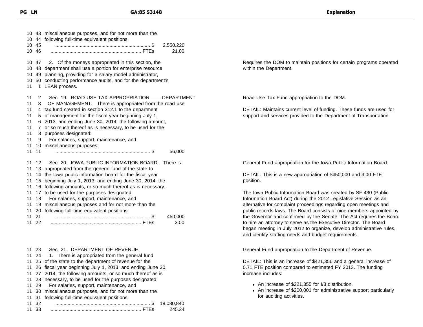|                                                    | 10 45<br>10 46                                     | 10 43 miscellaneous purposes, and for not more than the<br>10 44 following full-time equivalent positions:<br>2,550,220<br>21.00                                                                                                                                                                                                                                                                                                                                                                                        |
|----------------------------------------------------|----------------------------------------------------|-------------------------------------------------------------------------------------------------------------------------------------------------------------------------------------------------------------------------------------------------------------------------------------------------------------------------------------------------------------------------------------------------------------------------------------------------------------------------------------------------------------------------|
| 11                                                 | 10 47                                              | 2. Of the moneys appropriated in this section, the<br>10 48 department shall use a portion for enterprise resource<br>10 49 planning, providing for a salary model administrator,<br>10 50 conducting performance audits, and for the department's<br>1 LEAN process.                                                                                                                                                                                                                                                   |
| 11<br>11<br>11<br>11<br>11<br>11<br>11<br>11<br>11 | $\overline{2}$<br>3<br>9<br>11                     | Sec. 19. ROAD USE TAX APPROPRIATION - DEPARTMENT<br>OF MANAGEMENT. There is appropriated from the road use<br>4 tax fund created in section 312.1 to the department<br>5 of management for the fiscal year beginning July 1,<br>6 2013, and ending June 30, 2014, the following amount,<br>7 or so much thereof as is necessary, to be used for the<br>8 purposes designated:<br>For salaries, support, maintenance, and<br>11 10 miscellaneous purposes:<br>56,000                                                     |
| 11<br>11<br>11<br>11<br>11<br>11<br>11<br>11       | 12<br>18<br>11 21<br>11 22                         | Sec. 20. IOWA PUBLIC INFORMATION BOARD.<br>There is<br>13 appropriated from the general fund of the state to<br>14 the lowa public information board for the fiscal year<br>15 beginning July 1, 2013, and ending June 30, 2014, the<br>16 following amounts, or so much thereof as is necessary,<br>17 to be used for the purposes designated:<br>For salaries, support, maintenance, and<br>19 miscellaneous purposes and for not more than the<br>11 20 following full-time equivalent positions:<br>450,000<br>3.00 |
| 11<br>11<br>11<br>11<br>11<br>11<br>11             | 11 23<br>11 24<br>28<br>29<br>30<br>31<br>32<br>33 | Sec. 21. DEPARTMENT OF REVENUE.<br>1. There is appropriated from the general fund<br>11 25 of the state to the department of revenue for the<br>26 fiscal year beginning July 1, 2013, and ending June 30,<br>11 27 2014, the following amounts, or so much thereof as is<br>necessary, to be used for the purposes designated:<br>For salaries, support, maintenance, and<br>miscellaneous purposes, and for not more than the<br>following full-time equivalent positions:<br>18,080,840<br>245.24                    |

Requires the DOM to maintain positions for certain programs operated within the Department.

Road Use Tax Fund appropriation to the DOM.

DETAIL: Maintains current level of funding. These funds are used for support and services provided to the Department of Transportation.

General Fund appropriation for the Iowa Public Information Board.

DETAIL: This is a new appropriation of \$450,000 and 3.00 FTE position.

The Iowa Public Information Board was created by SF 430 (Public Information Board Act) during the 2012 Legislative Session as an alternative for complaint proceedings regarding open meetings and public records laws. The Board consists of nine members appointed by the Governor and confirmed by the Senate. The Act requires the Board to hire an attorney to serve as the Executive Director. The Board began meeting in July 2012 to organize, develop administrative rules, and identify staffing needs and budget requirements.

General Fund appropriation to the Department of Revenue.

DETAIL: This is an increase of \$421,356 and a general increase of 0.71 FTE position compared to estimated FY 2013. The funding increase includes:

- An increase of \$221,355 for I/3 distribution.
- An increase of \$200,001 for administrative support particularly for auditing activities.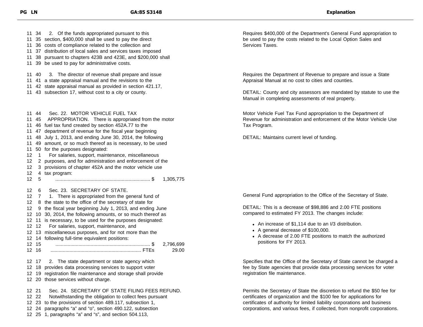34 2. Of the funds appropriated pursuant to this 35 section, \$400,000 shall be used to pay the direct 36 costs of compliance related to the collection and 37 distribution of local sales and services taxes imposed 38 pursuant to chapters 423B and 423E, and \$200,000 shall 39 be used to pay for administrative costs. 40 3. The director of revenue shall prepare and issue 41 a state appraisal manual and the revisions to the 42 state appraisal manual as provided in section 421.17, 43 subsection 17, without cost to a city or county. 11 44 Sec. 22 MOTOR VEHICLE FUEL TAX 45 APPROPRIATION. There is appropriated from the motor 46 fuel tax fund created by section 452A.77 to the 47 department of revenue for the fiscal year beginning 48 July 1, 2013, and ending June 30, 2014, the following 49 amount, or so much thereof as is necessary, to be used 50 for the purposes designated: 12 1 For salaries, support, maintenance, miscellaneous 2 purposes, and for administration and enforcement of the 3 provisions of chapter 452A and the motor vehicle use 4 tax program: 5 ...................................................................... \$ 1,305,775 6 Sec. 23. SECRETARY OF STATE. 12 7 1. There is appropriated from the general fund of 8 the state to the office of the secretary of state for 9 the fiscal year beginning July 1, 2013, and ending June 10 30, 2014, the following amounts, or so much thereof as 11 is necessary, to be used for the purposes designated: 12 For salaries, support, maintenance, and 13 miscellaneous purposes, and for not more than the 14 following full-time equivalent positions: 15 ...................................................................... \$ 2,796,699 16 ................................................................... FTEs 29.00 17 2. The state department or state agency which 18 provides data processing services to support voter 19 registration file maintenance and storage shall provide 20 those services without charge. 21 Sec. 24. SECRETARY OF STATE FILING FEES REFUND. 22 Notwithstanding the obligation to collect fees pursuant 23 to the provisions of section 489.117, subsection 1, 24 paragraphs "a" and "o", section 490.122, subsection 25 1, paragraphs "a" and "s", and section 504.113,

Requires \$400,000 of the Department's General Fund appropriation to be used to pay the costs related to the Local Option Sales and Services Taxes.

Requires the Department of Revenue to prepare and issue a State Appraisal Manual at no cost to cities and counties.

DETAIL: County and city assessors are mandated by statute to use the Manual in completing assessments of real property.

Motor Vehicle Fuel Tax Fund appropriation to the Department of Revenue for administration and enforcement of the Motor Vehicle Use Tax Program.

DETAIL: Maintains current level of funding.

General Fund appropriation to the Office of the Secretary of State.

DETAIL: This is a decrease of \$98,886 and 2.00 FTE positions compared to estimated FY 2013. The changes include:

- An increase of \$1,114 due to an I/3 distribution.
- A general decrease of \$100,000.
- A decrease of 2.00 FTE positions to match the authorized positions for FY 2013.

Specifies that the Office of the Secretary of State cannot be charged a fee by State agencies that provide data processing services for voter registration file maintenance.

Permits the Secretary of State the discretion to refund the \$50 fee for certificates of organization and the \$100 fee for applications for certificates of authority for limited liability corporations and business corporations, and various fees, if collected, from nonprofit corporations.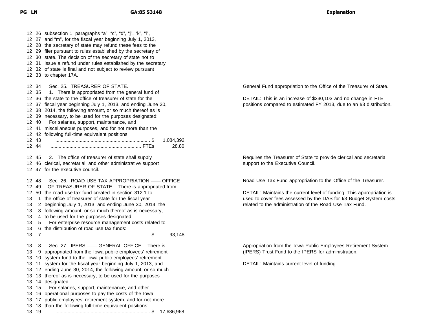26 subsection 1, paragraphs "a", "c", "d", "j", "k", "l", 27 and "m", for the fiscal year beginning July 1, 2013, 28 the secretary of state may refund these fees to the 29 filer pursuant to rules established by the secretary of 30 state. The decision of the secretary of state not to 31 issue a refund under rules established by the secretary 32 of state is final and not subject to review pursuant 33 to chapter 17A. 34 Sec. 25. TREASURER OF STATE. 12 35 1. There is appropriated from the general fund of 36 the state to the office of treasurer of state for the 37 fiscal year beginning July 1, 2013, and ending June 30, 38 2014, the following amount, or so much thereof as is 39 necessary, to be used for the purposes designated: 40 For salaries, support, maintenance, and 41 miscellaneous purposes, and for not more than the 42 following full-time equivalent positions: 43 ...................................................................... \$ 1,084,392 44 ................................................................... FTEs 28.80 45 2. The office of treasurer of state shall supply 46 clerical, secretarial, and other administrative support 47 for the executive council. 48 Sec. 26. ROAD USE TAX APPROPRIATION —— OFFICE 49 OF TREASURER OF STATE. There is appropriated from 50 the road use tax fund created in section 312.1 to 13 1 the office of treasurer of state for the fiscal year 2 beginning July 1, 2013, and ending June 30, 2014, the 3 following amount, or so much thereof as is necessary, 4 to be used for the purposes designated: 5 For enterprise resource management costs related to 6 the distribution of road use tax funds: 7 ...................................................................... \$ 93,148 8 Sec. 27. IPERS —— GENERAL OFFICE. There is 9 appropriated from the Iowa public employees' retirement 10 system fund to the Iowa public employees' retirement 11 system for the fiscal year beginning July 1, 2013, and 12 ending June 30, 2014, the following amount, or so much 13 thereof as is necessary, to be used for the purposes 14 designated: 15 For salaries, support, maintenance, and other 16 operational purposes to pay the costs of the Iowa 17 public employees' retirement system, and for not more 18 than the following full-time equivalent positions: 19 ...................................................................... \$ 17,686,968 General Fund appropriation to the Office of the Treasurer of State. DETAIL: This is an increase of \$230,103 and no change in FTE positions compared to estimated FY 2013, due to an I/3 distribution. Requires the Treasurer of State to provide clerical and secretarial support to the Executive Council. Road Use Tax Fund appropriation to the Office of the Treasurer. DETAIL: Maintains the current level of funding. This appropriation is used to cover fees assessed by the DAS for I/3 Budget System costs related to the administration of the Road Use Tax Fund. Appropriation from the Iowa Public Employees Retirement System (IPERS) Trust Fund to the IPERS for administration. DETAIL: Maintains current level of funding.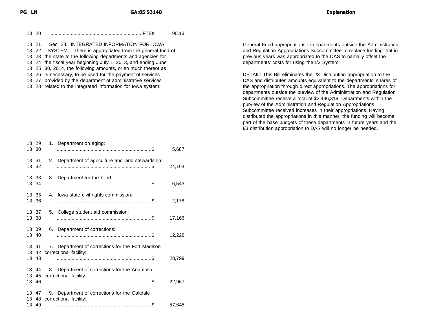| 13 20 |                                                                                                                                                                                                                                   | 90.13 |
|-------|-----------------------------------------------------------------------------------------------------------------------------------------------------------------------------------------------------------------------------------|-------|
|       | 13 21 Sec. 28. INTEGRATED INFORMATION FOR IOWA                                                                                                                                                                                    |       |
|       | 13 22 SYSTEM. There is appropriated from the general fund of                                                                                                                                                                      |       |
|       | $\mathbf{a}$ as the contract of the contract of the contract of the contract of the contract of the contract of the contract of the contract of the contract of the contract of the contract of the contract of the contract of t |       |

23 the state to the following departments and agencies for

- 24 the fiscal year beginning July 1, 2013, and ending June
- 25 30, 2014, the following amounts, or so much thereof as
- 26 is necessary, to be used for the payment of services
- 27 provided by the department of administrative services
- 28 related to the integrated information for Iowa system:

|       | 13 29<br>13 30 | 1. Department on aging:                                                      | 5,687  |
|-------|----------------|------------------------------------------------------------------------------|--------|
| 13 31 | 13 32          | 2. Department of agriculture and land stewardship:                           | 24,164 |
|       | 13 33<br>13 34 | Department for the blind:<br>3.                                              | 6,543  |
|       | 13 35<br>13 36 | 4. Iowa state civil rights commission:                                       | 2,178  |
|       | 13 37<br>13 38 | 5. College student aid commission:                                           | 17,166 |
|       | 13 39<br>13 40 | 6. Department of corrections:                                                | 12,228 |
| 13 41 |                | 7. Department of corrections for the Fort Madison                            |        |
|       | 13 43          | 13 42 correctional facility:                                                 | 28,799 |
|       | 13 44          | 8. Department of corrections for the Anamosa                                 |        |
|       |                | 13 45 correctional facility:                                                 |        |
|       | 13 46          |                                                                              | 22,967 |
|       | 13 47          | 9. Department of corrections for the Oakdale<br>13 48 correctional facility: |        |
|       | 13 49          |                                                                              | 57,645 |
|       |                |                                                                              |        |

General Fund appropriations to departments outside the Administration and Regulation Appropriations Subcommittee to replace funding that in previous years was appropriated to the DAS to partially offset the departments' costs for using the I/3 System.

DETAIL: This Bill eliminates the I/3 Distribution appropriation to the DAS and distributes amounts equivalent to the departments' shares of the appropriation through direct appropriations. The appropriations for departments outside the purview of the Administration and Regulation Subcommittee receive a total of \$2,486,318. Departments within the purview of the Administration and Regulation Appropriations Subcommittee received increases in their appropriations. Having distributed the appropriations in this manner, the funding will become part of the base budgets of these departments in future years and the I/3 distribution appropriation to DAS will no longer be needed.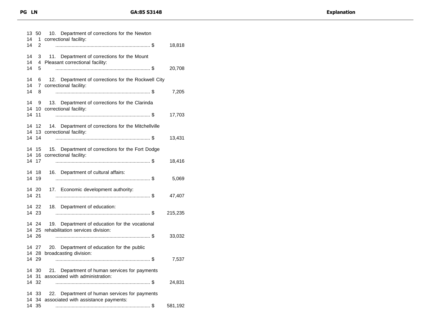| 13<br>14<br>14 | 50<br>1<br>2            | 10. Department of corrections for the Newton<br>correctional facility:                   | 18,818  |
|----------------|-------------------------|------------------------------------------------------------------------------------------|---------|
| 14<br>14<br>14 | 3<br>4<br>5             | Department of corrections for the Mount<br>11.<br>Pleasant correctional facility:        | 20,708  |
| 14<br>14<br>14 | 6<br>$7^{\circ}$<br>8   | 12. Department of corrections for the Rockwell City<br>correctional facility:            | 7,205   |
| 14<br>14<br>14 | 9<br>11                 | 13. Department of corrections for the Clarinda<br>10 correctional facility:              | 17,703  |
| 14<br>14<br>14 | 12<br>14                | Department of corrections for the Mitchellville<br>14.<br>13 correctional facility:      | 13,431  |
| 14<br>14<br>14 | 15<br>16<br>17          | 15. Department of corrections for the Fort Dodge<br>correctional facility:               | 18,416  |
| 14<br>14       | 18<br>19                | 16. Department of cultural affairs:                                                      | 5,069   |
| 14 21          | 14 20                   | 17. Economic development authority:                                                      | 47,407  |
|                | 14 22<br>14 23          | 18. Department of education:                                                             | 215,235 |
|                | 14 24<br>14 25<br>14 26 | Department of education for the vocational<br>19.<br>rehabilitation services division:   | 33,032  |
|                | 14 27<br>14 28<br>14 29 | Department of education for the public<br>20.<br>broadcasting division:                  | 7,537   |
| 14<br>14<br>14 | 30<br>31<br>32          | 21. Department of human services for payments<br>associated with administration:         | 24,831  |
| 14<br>14<br>14 | 33<br>34<br>35          | Department of human services for payments<br>22.<br>associated with assistance payments: | 581,192 |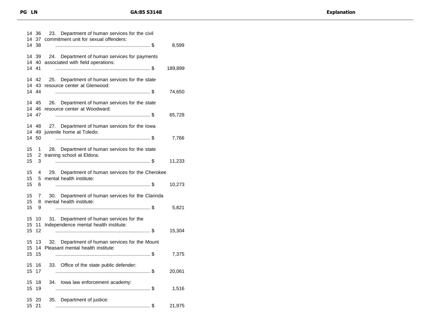|                | 14 36<br>14 38 | 23. Department of human services for the civil<br>14 37 commitment unit for sexual offenders: | 8,599   |
|----------------|----------------|-----------------------------------------------------------------------------------------------|---------|
|                | 14 39<br>14 41 | 24. Department of human services for payments<br>14 40 associated with field operations:      | 189,899 |
|                | 14 42<br>14 44 | 25. Department of human services for the state<br>14 43 resource center at Glenwood:          | 74,650  |
|                | 14 47          | 14 45 26. Department of human services for the state<br>14 46 resource center at Woodward:    | 65,728  |
|                | 14 50          | 14 48 27. Department of human services for the lowa<br>14 49 juvenile home at Toledo:         | 7,766   |
| 15<br>15<br>15 | 1<br>3         | 28. Department of human services for the state<br>2 training school at Eldora:                | 11,233  |
| 15<br>15<br>15 | 4<br>5.<br>6   | 29. Department of human services for the Cherokee<br>mental health institute:                 | 10,273  |
| 15<br>15<br>15 | 7<br>8<br>9    | Department of human services for the Clarinda<br>30.<br>mental health institute:              | 5,821   |
| 15<br>15<br>15 | 10<br>11<br>12 | 31. Department of human services for the<br>Independence mental health institute:             | 15,304  |
| 15<br>15<br>15 | 13<br>15       | Department of human services for the Mount<br>32.<br>14 Pleasant mental health institute:     | 7,375   |
| 15             | 15 16<br>-17   | Office of the state public defender:<br>33.                                                   | 20,061  |
| 15<br>15       | 18<br>19       | lowa law enforcement academy:<br>34.                                                          | 1,516   |
| 15             | 15 20<br>21    | Department of justice:<br>35.                                                                 | 21,975  |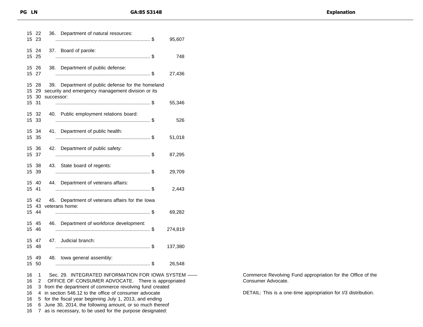|  | <b>Explanation</b> |
|--|--------------------|
|--|--------------------|

| 15       | 15 22<br>23         | 36. Department of natural resources:<br>95,607                                                                       |
|----------|---------------------|----------------------------------------------------------------------------------------------------------------------|
|          | 15 24<br>15 25      | 37. Board of parole:<br>748                                                                                          |
|          | 15 26<br>15 27      | 38. Department of public defense:<br>27,436                                                                          |
| 15<br>15 | -28<br>-29<br>15 30 | 39. Department of public defense for the homeland<br>security and emergency management division or its<br>successor: |
| 15       | 31                  | 55,346                                                                                                               |
|          | 15 32<br>15 33      | 40. Public employment relations board:<br>526                                                                        |
|          | 15 34<br>15 35      | 41. Department of public health:<br>51,018                                                                           |
|          | 15 36<br>15 37      | 42. Department of public safety:<br>87,295                                                                           |
|          | 15 38<br>15 39      | 43.<br>State board of regents:<br>29,709                                                                             |
| 15 41    | 15 40               | 44. Department of veterans affairs:<br>2,443                                                                         |
|          | 15 42<br>15 43      | 45. Department of veterans affairs for the lowa<br>veterans home:                                                    |
|          | 15 44               | 69,282                                                                                                               |
|          | 15 45<br>15 46      | 46. Department of workforce development:<br>274,819                                                                  |
|          | 15 47<br>15 48      | 47. Judicial branch:<br>137,380                                                                                      |
|          | 15 49<br>15 50      | 48. Iowa general assembly:<br>26,548                                                                                 |
| 16       | 1                   | Sec. 29. INTEGRATED INFORMATION FOR IOWA SYSTEM -                                                                    |
| 16       | $\overline{c}$      | OFFICE OF CONSUMER ADVOCATE. There is appropriated                                                                   |
| 16<br>16 | 3<br>4              | from the department of commerce revolving fund created<br>in section 546.12 to the office of consumer advocate       |
| 16       | 5                   | for the fiscal year beginning July 1, 2013, and ending                                                               |
| 16       | 6                   | June 30, 2014, the following amount, or so much thereof                                                              |
| 16       | 7                   | as is necessary, to be used for the purpose designated:                                                              |

Commerce Revolving Fund appropriation for the Office of the Consumer Advocate.

DETAIL: This is a one-time appropriation for I/3 distribution.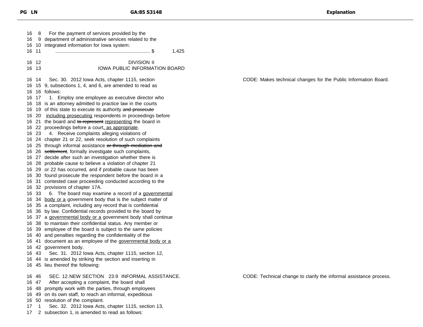8 For the payment of services provided by the 9 department of administrative services related to the 10 integrated information for Iowa system: 11 ...................................................................... \$ 1,425 12 DIVISION II 13 IOWA PUBLIC INFORMATION BOARD 14 Sec. 30. 2012 Iowa Acts, chapter 1115, section 15 9, subsections 1, 4, and 6, are amended to read as 16 follows: 17 1. Employ one employee as executive director who 18 is an attorney admitted to practice law in the courts 16 19 of this state to execute its authority and prosecute 16 20 including prosecuting respondents in proceedings before 16 21 the board and to represent representing the board in 16 22 proceedings before a court, as appropriate. 23 4. Receive complaints alleging violations of 24 chapter 21 or 22, seek resolution of such complaints 16 25 through informal assistance or through mediation and 16 26 settlement, formally investigate such complaints, 27 decide after such an investigation whether there is 28 probable cause to believe a violation of chapter 21 29 or 22 has occurred, and if probable cause has been 30 found prosecute the respondent before the board in a 31 contested case proceeding conducted according to the 32 provisions of chapter 17A. 16 33 6. The board may examine a record of a governmental 16 34 body or a government body that is the subject matter of 35 a complaint, including any record that is confidential 36 by law. Confidential records provided to the board by 16 37 a governmental body or a government body shall continue 38 to maintain their confidential status. Any member or 39 employee of the board is subject to the same policies 40 and penalties regarding the confidentiality of the 16 41 document as an employee of the governmental body or a 42 government body. 43 Sec. 31. 2012 Iowa Acts, chapter 1115, section 12, 44 is amended by striking the section and inserting in 45 lieu thereof the following: 46 SEC. 12.NEW SECTION 23.9 INFORMAL ASSISTANCE. 47 After accepting a complaint, the board shall 48 promptly work with the parties, through employees 49 on its own staff, to reach an informal, expeditious 50 resolution of the complaint.

- 1 Sec. 32. 2012 Iowa Acts, chapter 1115, section 13,
- 2 subsection 1, is amended to read as follows:

CODE: Makes technical changes for the Public Information Board.

CODE: Technical change to clarify the informal assistance process.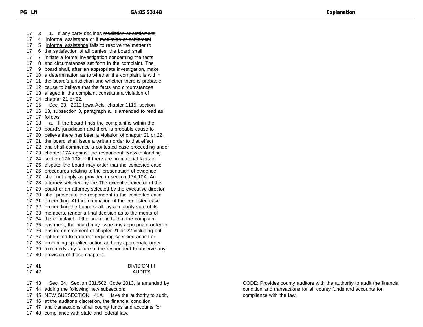17 3 1. If any party declines mediation or settlement 17 4 informal assistance or if mediation or settlement 5 informal assistance fails to resolve the matter to 6 the satisfaction of all parties, the board shall 7 initiate a formal investigation concerning the facts 8 and circumstances set forth in the complaint. The 9 board shall, after an appropriate investigation, make 10 a determination as to whether the complaint is within 11 the board's jurisdiction and whether there is probable 12 cause to believe that the facts and circumstances 13 alleged in the complaint constitute a violation of 14 chapter 21 or 22. 15 Sec. 33. 2012 Iowa Acts, chapter 1115, section 16 13, subsection 3, paragraph a, is amended to read as 17 follows: 18 a. If the board finds the complaint is within the 19 board's jurisdiction and there is probable cause to 20 believe there has been a violation of chapter 21 or 22, 21 the board shall issue a written order to that effect 22 and shall commence a contested case proceeding under 17 23 chapter 17A against the respondent. Notwithstanding 17 24 section 17A.10A, if If there are no material facts in 25 dispute, the board may order that the contested case 26 procedures relating to the presentation of evidence 27 shall not apply as provided in section 17A.10A. An 17 28 attorney selected by the The executive director of the 17 29 board or an attorney selected by the executive director 30 shall prosecute the respondent in the contested case 31 proceeding. At the termination of the contested case 32 proceeding the board shall, by a majority vote of its 33 members, render a final decision as to the merits of 34 the complaint. If the board finds that the complaint 35 has merit, the board may issue any appropriate order to 36 ensure enforcement of chapter 21 or 22 including but 37 not limited to an order requiring specified action or 38 prohibiting specified action and any appropriate order 39 to remedy any failure of the respondent to observe any 40 provision of those chapters. 41 DIVISION III 42 AUDITS 43 Sec. 34. Section 331.502, Code 2013, is amended by 44 adding the following new subsection: 45 NEW SUBSECTION 41A. Have the authority to audit, 46 at the auditor's discretion, the financial condition

47 and transactions of all county funds and accounts for

48 compliance with state and federal law.

CODE: Provides county auditors with the authority to audit the financial condition and transactions for all county funds and accounts for compliance with the law.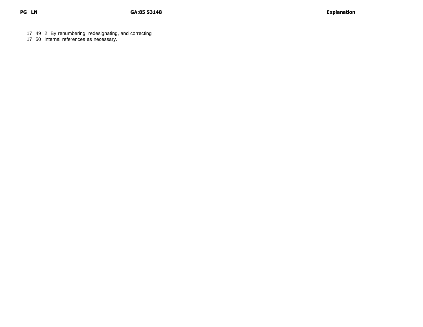49 2 By renumbering, redesignating, and correcting

50 internal references as necessary.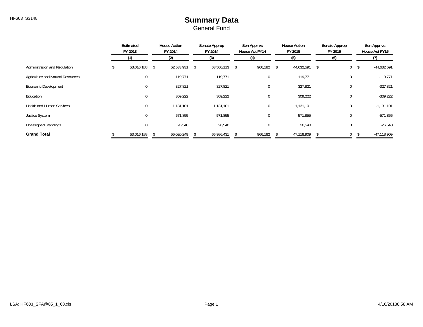#### HF603 S3148 **Summary Data** General Fund

|                                   | Estimated<br>FY 2013 |                | <b>House Action</b><br>FY 2014 |  | Senate Approp<br>FY 2014<br>(3) |  | Sen Appr vs<br>House Act FY14 |     | <b>House Action</b><br>FY 2015 |     | Senate Approp<br>FY 2015 |                |     | Sen Appr vs<br>House Act FY15 |
|-----------------------------------|----------------------|----------------|--------------------------------|--|---------------------------------|--|-------------------------------|-----|--------------------------------|-----|--------------------------|----------------|-----|-------------------------------|
|                                   | (1)                  |                | (2)                            |  |                                 |  | (4)                           |     | (5)                            | (6) |                          |                |     | (7)                           |
| Administration and Regulation     |                      | 53,016,188     | \$<br>52,533,931 \$            |  | 53,500,113 \$                   |  | 966,182                       | -\$ | 44,632,591                     | \$  |                          | $\overline{0}$ | -\$ | $-44,632,591$                 |
| Agriculture and Natural Resources |                      | $\overline{0}$ | 119,771                        |  | 119,771                         |  | 0                             |     | 119,771                        |     |                          | 0              |     | $-119,771$                    |
| Economic Development              |                      | $\overline{0}$ | 327,821                        |  | 327,821                         |  | 0                             |     | 327,821                        |     |                          | 0              |     | $-327,821$                    |
| Education                         |                      | $\mathbf{0}$   | 309,222                        |  | 309,222                         |  | 0                             |     | 309,222                        |     |                          | 0              |     | $-309,222$                    |
| <b>Health and Human Services</b>  |                      | $\overline{0}$ | 1,131,101                      |  | 1,131,101                       |  | 0                             |     | 1,131,101                      |     |                          | 0              |     | $-1,131,101$                  |
| <b>Justice System</b>             |                      | $\mathbf 0$    | 571,855                        |  | 571,855                         |  | 0                             |     | 571,855                        |     |                          | 0              |     | $-571,855$                    |
| <b>Unassigned Standings</b>       |                      |                | 26,548                         |  | 26,548                          |  |                               |     | 26,548                         |     |                          | 0              |     | $-26,548$                     |
| <b>Grand Total</b>                |                      | 53,016,188     | 55,020,249                     |  | 55,986,431                      |  | 966,182                       |     | 47,118,909                     |     |                          | 0              |     | $-47,118,909$                 |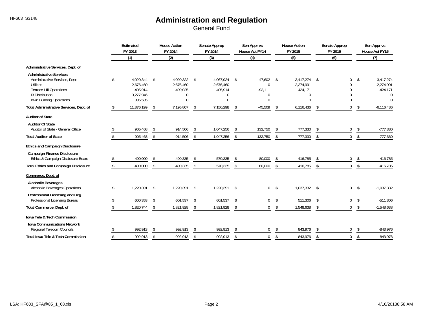|                                                                                                                                                                | Estimated<br>FY 2013                                            |               | <b>House Action</b><br>FY 2014                 |                | Senate Approp<br>FY 2014                              |                    | Sen Appr vs<br>House Act FY14                       |            | <b>House Action</b><br>FY 2015                            |                | Senate Approp<br>FY 2015                              | Sen Appr vs<br>House Act FY15 |                                                                    |
|----------------------------------------------------------------------------------------------------------------------------------------------------------------|-----------------------------------------------------------------|---------------|------------------------------------------------|----------------|-------------------------------------------------------|--------------------|-----------------------------------------------------|------------|-----------------------------------------------------------|----------------|-------------------------------------------------------|-------------------------------|--------------------------------------------------------------------|
|                                                                                                                                                                | (1)                                                             |               | (2)                                            |                | (3)                                                   |                    | (4)                                                 |            | (5)                                                       |                | (6)                                                   |                               | (7)                                                                |
| Administrative Services, Dept. of                                                                                                                              |                                                                 |               |                                                |                |                                                       |                    |                                                     |            |                                                           |                |                                                       |                               |                                                                    |
| <b>Administrative Services</b><br>Administrative Services, Dept.<br>Utilities<br><b>Terrace Hill Operations</b><br>13 Distribution<br>Iowa Building Operations | \$<br>4,020,344<br>2,676,460<br>405,914<br>3,277,946<br>995,535 | \$            | 4,020,322 \$<br>2,676,460<br>499,025<br>0<br>U |                | 4,067,924 \$<br>2,676,460<br>405,914<br>0<br>$\Omega$ |                    | 47,602<br>$\mathbf 0$<br>$-93,111$<br>0<br>$\Omega$ | -\$        | 3,417,274<br>2,274,991<br>424,171<br>$\Omega$<br>$\Omega$ | \$             | 0<br>$\Omega$<br>$\mathbf{0}$<br>$\Omega$<br>$\Omega$ | \$                            | $-3,417,274$<br>$-2,274,991$<br>$-424,171$<br>$\Omega$<br>$\Omega$ |
| Total Administrative Services, Dept. of                                                                                                                        | \$<br>11,376,199                                                | \$            | 7,195,807                                      | \$             | 7,150,298                                             | Ŝ.                 | $-45,509$                                           | \$         | 6,116,436                                                 | $\mathfrak{L}$ | $\overline{0}$                                        | \$                            | $-6.116.436$                                                       |
| <b>Auditor of State</b>                                                                                                                                        |                                                                 |               |                                                |                |                                                       |                    |                                                     |            |                                                           |                |                                                       |                               |                                                                    |
| <b>Auditor Of State</b><br>Auditor of State - General Office                                                                                                   | 905,468                                                         | \$            | 914,506                                        | \$             | 1,047,256                                             | \$                 | 132,750                                             | \$         | 777,330                                                   | \$             | 0                                                     | \$                            | $-777,330$                                                         |
| <b>Total Auditor of State</b>                                                                                                                                  | \$<br>905,468                                                   | \$            | 914,506                                        | \$             | 1,047,256                                             | -S                 | 132,750                                             | \$         | 777,330                                                   | $\mathsf{\$}$  | $\overline{0}$                                        | \$                            | $-777,330$                                                         |
| <b>Ethics and Campaign Disclosure</b>                                                                                                                          |                                                                 |               |                                                |                |                                                       |                    |                                                     |            |                                                           |                |                                                       |                               |                                                                    |
| <b>Campaign Finance Disclosure</b><br>Ethics & Campaign Disclosure Board                                                                                       | 490,000                                                         | $\mathcal{S}$ | 490,335                                        | $\mathfrak{F}$ | 570,335                                               | $\mathbf{\hat{S}}$ | 80,000                                              | \$.        | 416,785                                                   | -¢             | 0                                                     | -\$                           | $-416,785$                                                         |
| <b>Total Ethics and Campaign Disclosure</b>                                                                                                                    | \$<br>490,000                                                   | \$            | 490,335                                        | \$             | 570,335                                               | \$                 | 80,000                                              | \$         | 416,785                                                   | $\mathsf{\$}$  | $\mathbf 0$                                           | \$                            | $-416,785$                                                         |
| Commerce, Dept. of                                                                                                                                             |                                                                 |               |                                                |                |                                                       |                    |                                                     |            |                                                           |                |                                                       |                               |                                                                    |
| <b>Alcoholic Beverages</b><br>Alcoholic Beverages Operations                                                                                                   | \$<br>1.220.391                                                 | \$            | 1,220,391                                      | -\$            | 1,220,391 \$                                          |                    | $\mathbf 0$                                         | $^{\circ}$ | 1,037,332                                                 | -\$            | $\overline{0}$                                        | -\$                           | $-1,037,332$                                                       |
| Professional Licensing and Reg.<br>Professional Licensing Bureau                                                                                               | 600,353                                                         | -S            | 601,537                                        | -\$            | 601,537                                               |                    | $\mathbf 0$                                         | \$         | 511,306                                                   |                | 0                                                     | Ŝ.                            | $-511,306$                                                         |
| Total Commerce, Dept. of                                                                                                                                       | 1,820,744                                                       | \$            | 1,821,928                                      | \$             | 1,821,928                                             | \$                 | $\mathbf 0$                                         | \$         | 1,548,638                                                 | \$             | $\overline{0}$                                        | \$                            | $-1,548,638$                                                       |
| Iowa Tele & Tech Commission                                                                                                                                    |                                                                 |               |                                                |                |                                                       |                    |                                                     |            |                                                           |                |                                                       |                               |                                                                    |
| <b>Iowa Communications Network</b><br>Regional Telecom Councils                                                                                                | 992,913                                                         | -S            | 992,913                                        | \$             | 992,913                                               | \$                 | $\mathbf 0$                                         | \$         | 843,976                                                   | $\mathfrak{L}$ | 0                                                     | -S                            | $-843,976$                                                         |
| <b>Total Iowa Tele &amp; Tech Commission</b>                                                                                                                   | 992,913                                                         | \$            | 992,913                                        | \$             | 992,913                                               | \$                 | $\mathbf 0$                                         | \$         | 843,976                                                   | $\mathfrak{S}$ | $\mathbf 0$                                           | $\mathfrak{L}$                | $-843,976$                                                         |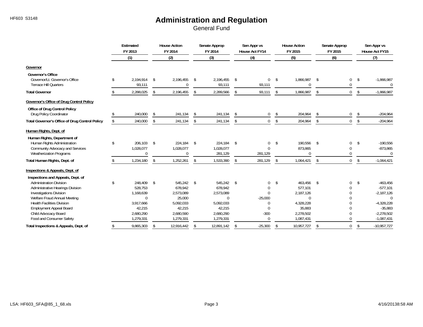|                                                       | Estimated<br>FY 2013 |    | <b>House Action</b><br>FY 2014 |     | Senate Approp<br>FY 2014 |     | Sen Appr vs<br><b>House Act FY14</b> |              | <b>House Action</b><br>FY 2015 |                | Senate Approp<br>FY 2015 |                | Sen Appr vs<br>House Act FY15 |
|-------------------------------------------------------|----------------------|----|--------------------------------|-----|--------------------------|-----|--------------------------------------|--------------|--------------------------------|----------------|--------------------------|----------------|-------------------------------|
|                                                       | (1)                  |    | (2)                            |     | (3)                      |     | (4)                                  |              | (5)                            |                | (6)                      |                | (7)                           |
| Governor                                              |                      |    |                                |     |                          |     |                                      |              |                                |                |                          |                |                               |
| Governor's Office                                     |                      |    |                                |     |                          |     |                                      |              |                                |                |                          |                |                               |
| Governor/Lt. Governor's Office                        | \$<br>2.194.914      | \$ | 2,196,455                      | \$  | 2,196,455                | \$  | $\mathbf 0$                          | $\mathsf{s}$ | 1,866,987                      | \$             | 0                        | \$             | $-1,866,987$                  |
| <b>Terrace Hill Quarters</b>                          | 93,111               |    |                                |     | 93,111                   |     | 93,111                               |              | $\Omega$                       |                | $\mathbf{0}$             |                | $\Omega$                      |
| <b>Total Governor</b>                                 | 2,288,025            | \$ | 2,196,455                      | \$  | 2,289,566                | \$  | 93,111                               | \$           | 1,866,987                      | \$             | 0                        | \$             | $-1,866,987$                  |
| <b>Governor's Office of Drug Control Policy</b>       |                      |    |                                |     |                          |     |                                      |              |                                |                |                          |                |                               |
| Office of Drug Control Policy                         |                      |    |                                |     |                          |     |                                      |              |                                |                |                          |                |                               |
| Drug Policy Coordinator                               | 240,000              | \$ | 241,134                        | \$  | 241,134                  | \$  | 0                                    | \$           | 204,964                        | $\mathfrak{S}$ | 0                        | \$             | $-204,964$                    |
| <b>Total Governor's Office of Drug Control Policy</b> | \$<br>240,000        | \$ | 241,134                        | \$  | 241,134                  | \$  | $\mathbf{0}$                         | \$           | 204,964                        | \$             | $\overline{0}$           | \$             | $-204,964$                    |
| Human Rights, Dept. of                                |                      |    |                                |     |                          |     |                                      |              |                                |                |                          |                |                               |
| Human Rights, Department of                           |                      |    |                                |     |                          |     |                                      |              |                                |                |                          |                |                               |
| Human Rights Administration                           | \$<br>206,103        | \$ | 224,184                        | -\$ | 224,184 \$               |     | 0                                    | \$           | 190,556                        | \$             | 0                        | $\mathfrak{S}$ | $-190,556$                    |
| Community Advocacy and Services                       | 1,028,077            |    | 1,028,077                      |     | 1,028,077                |     | $\Omega$                             |              | 873,865<br>$\Omega$            |                | $\mathbf{0}$             |                | $-873,865$                    |
| <b>Weatherization Programs</b>                        | $\Omega$             |    | U                              |     | 281.129                  |     | 281,129                              |              |                                |                | $\Omega$                 |                | $\Omega$                      |
| Total Human Rights, Dept. of                          | 1,234,180            | \$ | 1,252,261                      | \$  | 1,533,390                | -S  | 281,129                              | S.           | 1,064,421                      | -\$            | $\mathbf 0$              | \$             | $-1,064,421$                  |
| Inspections & Appeals, Dept. of                       |                      |    |                                |     |                          |     |                                      |              |                                |                |                          |                |                               |
| Inspections and Appeals, Dept. of                     |                      |    |                                |     |                          |     |                                      |              |                                |                |                          |                |                               |
| Administration Division                               | \$<br>248,409        | \$ | 545,242                        | \$  | 545,242 \$               |     | $\mathbf 0$                          | \$           | 463,456                        | \$             | 0                        | $\mathfrak{S}$ | $-463,456$                    |
| <b>Administrative Hearings Division</b>               | 528,753              |    | 678,942                        |     | 678,942                  |     | 0                                    |              | 577,101                        |                | $\Omega$                 |                | $-577,101$                    |
| <b>Investigations Division</b>                        | 1,168,639            |    | 2,573,089                      |     | 2,573,089                |     | $\Omega$                             |              | 2,187,126                      |                | $\Omega$                 |                | $-2,187,126$                  |
| Welfare Fraud Annual Meeting                          | $\Omega$             |    | 25,000                         |     | $\Omega$                 |     | $-25,000$                            |              | $\Omega$                       |                | $\Omega$                 |                | $\Omega$                      |
| <b>Health Facilities Division</b>                     | 3.917.666            |    | 5,092,033                      |     | 5,092,033                |     | 0                                    |              | 4,328,228                      |                | $\mathbf 0$              |                | $-4,328,228$                  |
| <b>Employment Appeal Board</b>                        | 42,215               |    | 42,215                         |     | 42,215                   |     | $\Omega$                             |              | 35,883                         |                | $\Omega$                 |                | $-35,883$                     |
| Child Advocacy Board                                  | 2,680,290            |    | 2,680,590                      |     | 2,680,290                |     | $-300$                               |              | 2,278,502                      |                | $\mathbf 0$              |                | $-2,278,502$                  |
| Food and Consumer Safety                              | 1,279,331            |    | 1,279,331                      |     | 1,279,331                |     | $\Omega$                             |              | 1,087,431                      |                | $\Omega$                 |                | $-1,087,431$                  |
| Total Inspections & Appeals, Dept. of                 | \$<br>9,865,303      | \$ | 12,916,442                     | \$  | 12,891,142               | -\$ | $-25,300$                            | -S           | 10,957,727                     | $\mathfrak{S}$ | $\mathbf 0$              | Ŝ.             | $-10,957,727$                 |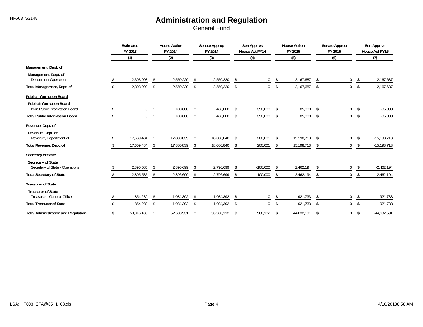|                                                                         | Estimated<br>FY 2013 |              | <b>House Action</b><br>FY 2014 |                | Senate Approp<br>FY 2014 | Sen Appr vs<br>House Act FY14 |              |                | <b>House Action</b><br>FY 2015 | Senate Approp<br>FY 2015 |                |    | Sen Appr vs<br>House Act FY15 |
|-------------------------------------------------------------------------|----------------------|--------------|--------------------------------|----------------|--------------------------|-------------------------------|--------------|----------------|--------------------------------|--------------------------|----------------|----|-------------------------------|
|                                                                         | (1)                  |              | (2)                            |                | (3)                      | (4)                           |              |                | (5)                            |                          | (6)            |    | (7)                           |
| Management, Dept. of                                                    |                      |              |                                |                |                          |                               |              |                |                                |                          |                |    |                               |
| Management, Dept. of<br><b>Department Operations</b>                    | 2,393,998            | $\mathsf{s}$ | 2,550,220                      | -S             | 2,550,220                | \$                            | 0            | \$             | 2,167,687                      | \$                       | 0              | Ŝ. | $-2,167,687$                  |
| Total Management, Dept. of                                              | 2,393,998            |              | 2,550,220                      | Ŝ.             | 2,550,220                | \$                            | $\mathbf{0}$ | \$             | 2,167,687                      | \$                       | $\mathbf{0}$   | Ŝ. | $-2,167,687$                  |
| <b>Public Information Board</b>                                         |                      |              |                                |                |                          |                               |              |                |                                |                          |                |    |                               |
| <b>Public Information Board</b><br><b>Iowa Public Information Board</b> | $\boldsymbol{0}$     | \$           | 100,000                        | $\mathcal{S}$  | 450,000                  | -\$                           | 350,000      | Ŝ.             | 85,000                         | \$                       | 0              | \$ | $-85,000$                     |
| <b>Total Public Information Board</b>                                   | $\mathbf 0$          |              | 100,000                        | Ŝ.             | 450,000                  | Ŝ.                            | 350,000      | \$             | 85,000                         | \$                       | 0              | \$ | $-85,000$                     |
| Revenue, Dept. of                                                       |                      |              |                                |                |                          |                               |              |                |                                |                          |                |    |                               |
| Revenue, Dept. of<br>Revenue, Department of                             | 17,659,484           |              | 17,880,839                     |                | 18,080,840               |                               | 200,001      | \$             | 15,198,713                     | \$                       | 0              | Ŝ. | $-15,198,713$                 |
| Total Revenue, Dept. of                                                 | 17,659,484           |              | 17,880,839                     | -\$            | 18,080,840               | $\mathfrak{L}$                | 200,001      | $\mathfrak{L}$ | 15,198,713                     | \$                       | $\mathbf 0$    | \$ | $-15,198,713$                 |
| Secretary of State                                                      |                      |              |                                |                |                          |                               |              |                |                                |                          |                |    |                               |
| Secretary of State<br>Secretary of State - Operations                   | 2,895,585            | \$           | 2,896,699                      | -S             | 2,796,699                |                               | $-100,000$   | -\$            | 2,462,194                      | \$                       | 0              | Ŝ. | $-2,462,194$                  |
| <b>Total Secretary of State</b>                                         | 2,895,585            | \$           | 2,896,699                      | $\mathfrak{S}$ | 2,796,699                | $\mathfrak{L}$                | $-100,000$   | $\mathfrak{L}$ | 2,462,194                      | \$                       | 0              |    | $-2,462,194$                  |
| <b>Treasurer of State</b>                                               |                      |              |                                |                |                          |                               |              |                |                                |                          |                |    |                               |
| <b>Treasurer of State</b><br>Treasurer - General Office                 | 854,289              |              | 1,084,392                      |                | 1,084,392                | -\$                           | 0            | Ŝ.             | 921,733                        | Ŝ.                       | 0              |    | $-921,733$                    |
| <b>Total Treasurer of State</b>                                         | 854,289              |              | 1,084,392                      |                | 1,084,392                |                               | $\mathbf{0}$ | \$             | 921,733                        | \$                       | $\overline{0}$ | Ŝ. | $-921,733$                    |
| <b>Total Administration and Regulation</b>                              | 53,016,188           |              | 52,533,931                     |                | 53,500,113               |                               | 966,182      | \$             | 44,632,591                     | \$                       | 0              | \$ | $-44,632,591$                 |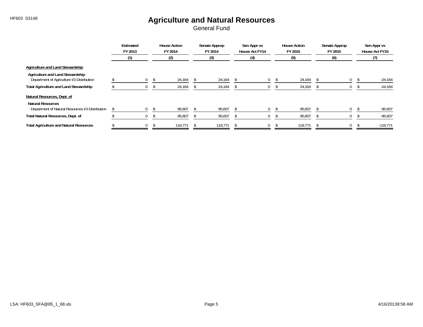## HF603 S3148 **Agriculture and Natural Resources**

|                                                                                |  | Estimated<br>FY 2013 |    | <b>House Action</b><br>FY 2014<br>(2) |  | Senate Approp<br>FY 2014 | Sen Appr vs<br>House Act FY14 |             |  | <b>House Action</b><br>FY 2015 | Senate Approp<br>FY 2015 |          |  | Sen Appr vs<br>House Act FY15 |            |  |
|--------------------------------------------------------------------------------|--|----------------------|----|---------------------------------------|--|--------------------------|-------------------------------|-------------|--|--------------------------------|--------------------------|----------|--|-------------------------------|------------|--|
|                                                                                |  |                      |    |                                       |  | (3)                      |                               | (4)         |  | (5)                            |                          | (6)      |  | (7)                           |            |  |
| Agriculture and Land Stewardship                                               |  |                      |    |                                       |  |                          |                               |             |  |                                |                          |          |  |                               |            |  |
| Agriculture and Land Stewardship<br>Department of Agriculture I/3 Distribution |  | $\overline{0}$       | -S | 24,164                                |  | 24,164                   |                               | $\mathbf 0$ |  | 24,164                         |                          | 0        |  |                               | $-24,164$  |  |
| <b>Total Agriculture and Land Stewardship</b>                                  |  |                      |    | 24,164                                |  | 24,164                   |                               | 0           |  | 24,164                         |                          | 0        |  |                               | $-24,164$  |  |
| Natural Resources, Dept. of                                                    |  |                      |    |                                       |  |                          |                               |             |  |                                |                          |          |  |                               |            |  |
| <b>Natural Resources</b><br>Department of Natural Resources I/3 Distribution   |  | $\Omega$             |    | 95,607                                |  | 95,607                   |                               | 0           |  | 95,607                         |                          | $\Omega$ |  |                               | $-95,607$  |  |
| Total Natural Resources, Dept. of                                              |  | U                    |    | 95,607                                |  | 95,607                   |                               | U           |  | 95,607                         |                          | 0        |  |                               | $-95,607$  |  |
| <b>Total Agriculture and Natural Resources</b>                                 |  | $\mathbf{0}$         |    | 119,771                               |  | 119,771                  |                               | $\mathbf 0$ |  | 119,771                        |                          | 0        |  |                               | $-119,771$ |  |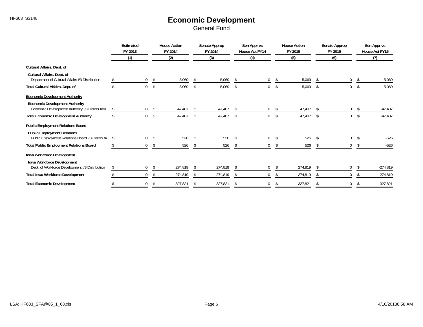## HF603 S3148 **Economic Development**

|                                                                                          | Estimated<br>FY 2013   |     | <b>House Action</b><br>FY 2014 |     | Senate Approp<br>FY 2014 | Sen Appr vs<br>House Act FY14 |          |      | <b>House Action</b><br>FY 2015 | Senate Approp<br>FY 2015 |              |    | Sen Appr vs<br>House Act FY15 |            |
|------------------------------------------------------------------------------------------|------------------------|-----|--------------------------------|-----|--------------------------|-------------------------------|----------|------|--------------------------------|--------------------------|--------------|----|-------------------------------|------------|
|                                                                                          | (1)                    |     | (2)                            |     | (3)                      |                               | (4)      |      | (5)                            |                          | (6)          |    | (7)                           |            |
| Cultural Affairs, Dept. of                                                               |                        |     |                                |     |                          |                               |          |      |                                |                          |              |    |                               |            |
| Cultural Affairs, Dept. of<br>Department of Cultural Affairs I/3 Distribution            | 0                      | \$  | 5,069                          | \$  | 5,069                    | -\$                           | 0        | - \$ | 5,069                          | -S                       | $\mathbf{0}$ | -S |                               | $-5,069$   |
| Total Cultural Affairs, Dept. of                                                         | 0                      | Ŝ.  | 5,069                          | \$  | 5,069                    | S.                            | 0        | S.   | 5,069                          |                          | 0            |    |                               | $-5,069$   |
| <b>Economic Development Authority</b>                                                    |                        |     |                                |     |                          |                               |          |      |                                |                          |              |    |                               |            |
| <b>Economic Development Authority</b><br>Economic Development Authority I/3 Distribution | \$<br>$\boldsymbol{0}$ | -\$ | 47,407                         |     | 47,407                   |                               | $\Omega$ | S.   | 47,407                         |                          | 0            |    |                               | $-47,407$  |
| <b>Total Economic Development Authority</b>                                              | $\mathbf 0$            |     | 47,407                         |     | 47,407                   |                               | 0        |      | 47,407                         |                          | 0            |    |                               | $-47,407$  |
| <b>Public Employment Relations Board</b>                                                 |                        |     |                                |     |                          |                               |          |      |                                |                          |              |    |                               |            |
| <b>Public Employment Relations</b><br>Public Employment Relations Board I/3 Distributio  | \$<br>0                | -\$ | 526                            | -\$ | 526                      |                               | 0        | -S   | 526                            |                          | 0            |    |                               | $-526$     |
| <b>Total Public Employment Relations Board</b>                                           | $\mathbf 0$            | -S  | 526                            | -S  | 526                      |                               | 0        | S.   | 526                            |                          | 0            |    |                               | $-526$     |
| Iowa Workforce Development<br>Iowa Workforce Development                                 |                        |     |                                |     |                          |                               |          |      |                                |                          |              |    |                               |            |
| Dept. of Workforce Development I/3 Distribution                                          | 0                      | -S  | 274,819                        |     | 274,819                  |                               | 0        |      | 274,819                        |                          | 0            |    |                               | $-274,819$ |
| <b>Total Iowa Workforce Development</b>                                                  | $\mathbf{0}$           | S   | 274,819                        |     | 274,819                  |                               | 0        | S    | 274,819                        |                          | 0            |    |                               | $-274,819$ |
| <b>Total Economic Development</b>                                                        | $\mathbf{0}$           | -\$ | 327,821                        | \$  | 327,821                  |                               | 0        | \$   | 327,821                        |                          | $\mathbf{0}$ |    |                               | $-327,821$ |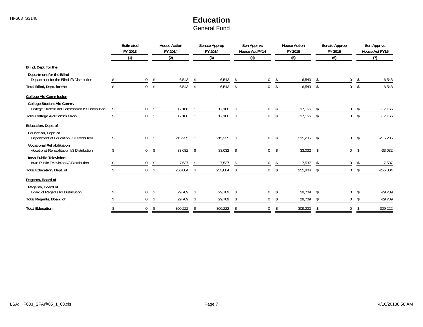## HF603 S3148 **Education**

|                                                                                                               | Estimated<br>FY 2013   |                         | <b>House Action</b><br>FY 2014 |     | Senate Approp<br>FY 2014 |    | Sen Appr vs<br>House Act FY14 |               | <b>House Action</b><br>FY 2015 |    | Senate Approp<br>FY 2015 |               | Sen Appr vs<br>House Act FY15 |
|---------------------------------------------------------------------------------------------------------------|------------------------|-------------------------|--------------------------------|-----|--------------------------|----|-------------------------------|---------------|--------------------------------|----|--------------------------|---------------|-------------------------------|
|                                                                                                               | (1)                    |                         | (2)                            |     | (3)                      |    | (4)                           |               | (5)                            |    | (6)                      |               | (7)                           |
| Blind, Dept. for the                                                                                          |                        |                         |                                |     |                          |    |                               |               |                                |    |                          |               |                               |
| Department for the Blind<br>Department for the Blind I/3 Distribution                                         | $\overline{0}$         | \$                      | 6,543                          | \$  | 6,543                    | \$ | 0                             | \$            | 6,543                          | \$ | 0                        | \$            | $-6,543$                      |
| Total Blind, Dept. for the                                                                                    | $\mathbf{0}$           | \$                      | 6,543                          | \$  | 6,543                    | -S | 0                             | \$            | 6,543                          | \$ | $\mathbf 0$              | <sup>\$</sup> | $-6,543$                      |
| <b>College Aid Commission</b><br>College Student Aid Comm.<br>College Student Aid Commission I/3 Distribution | \$<br>$\boldsymbol{0}$ | \$                      | 17,166                         | -S  | 17,166                   |    | $\mathbf 0$                   | -\$           | 17,166                         |    | 0                        |               | $-17,166$                     |
| <b>Total College Aid Commission</b>                                                                           | $\mathbf 0$            | \$                      | 17,166                         | s.  | 17,166                   | \$ | 0                             | \$            | 17,166                         |    | $\mathbf 0$              | <sup>\$</sup> | $-17,166$                     |
| Education, Dept. of<br>Education, Dept. of<br>Department of Education I/3 Distribution                        | \$                     | 0 <sup>5</sup>          | 215,235 \$                     |     | $215,235$ \$             |    | $\mathbf 0$                   | $\mathsf{\$}$ | 215,235                        | \$ | 0                        | \$            | $-215,235$                    |
| <b>Vocational Rehabilitation</b><br>Vocational Rehabilitation I/3 Distribution                                | \$<br>$\overline{0}$   | $\sqrt[6]{\frac{1}{2}}$ | $33,032$ \$                    |     | 33,032 \$                |    | $\overline{0}$                | $\mathsf{\$}$ | $33,032$ \$                    |    | $\overline{0}$           | -\$           | $-33,032$                     |
| <b>Iowa Public Television</b><br>Iowa Public Television I/3 Distribution                                      | $\mathbf 0$            | \$                      | 7,537                          | -\$ | 7,537                    | Ŝ. | $\mathbf 0$                   | \$            | 7,537                          | -S | 0                        | -S            | $-7,537$                      |
| <b>Total Education, Dept. of</b>                                                                              | $\mathbf{0}$           | -\$                     | 255,804                        | \$  | 255,804                  | \$ | $\mathbf 0$                   | \$            | 255,804                        | \$ | 0                        | <sup>\$</sup> | $-255,804$                    |
| Regents, Board of                                                                                             |                        |                         |                                |     |                          |    |                               |               |                                |    |                          |               |                               |
| Regents, Board of<br>Board of Regents I/3 Distribution                                                        | $\mathbf 0$            | \$                      | 29,709                         | \$  | 29,709                   | \$ | 0                             | \$            | 29,709                         | Ŝ. | 0                        | <sup>\$</sup> | $-29,709$                     |
| <b>Total Regents, Board of</b>                                                                                | $\overline{0}$         | -S                      | 29,709                         | \$  | 29,709                   | \$ | 0                             | \$            | 29,709                         | \$ | $\mathbf 0$              | -S            | $-29,709$                     |
| <b>Total Education</b>                                                                                        | $\Omega$               | <sup>\$</sup>           | 309,222                        | \$  | 309,222                  | \$ | 0                             | \$            | 309,222                        | \$ | $\Omega$                 |               | $-309,222$                    |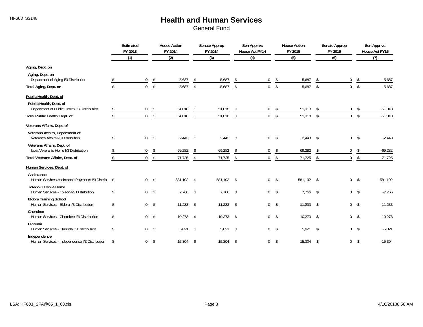#### HF603 S3148 **Health and Human Services**

|                                                                           | Estimated<br>FY 2013 |                | <b>House Action</b><br>FY 2014 |               | Senate Approp<br>FY 2014 |               | Sen Appr vs<br>House Act FY14 |                | <b>House Action</b><br>FY 2015 |                | Senate Approp<br>FY 2015 |                         | Sen Appr vs<br>House Act FY15 |
|---------------------------------------------------------------------------|----------------------|----------------|--------------------------------|---------------|--------------------------|---------------|-------------------------------|----------------|--------------------------------|----------------|--------------------------|-------------------------|-------------------------------|
|                                                                           | (1)                  |                | (2)                            |               | (3)                      |               | (4)                           |                | (5)                            |                | (6)                      |                         | (7)                           |
| Aging, Dept. on                                                           |                      |                |                                |               |                          |               |                               |                |                                |                |                          |                         |                               |
| Aging, Dept. on<br>Department of Aging I/3 Distribution                   | \$<br>$\mathbf{0}$   | \$             | 5,687                          | \$            | 5,687                    | $\mathcal{S}$ | $\mathbf 0$                   | \$             | 5,687                          | -\$            | 0                        | \$                      | $-5,687$                      |
| Total Aging, Dept. on                                                     | \$<br>$\mathbf 0$    | \$             | 5,687                          | \$            | 5,687                    | \$            | $\boldsymbol{0}$              | \$             | 5,687                          | \$             | $\mathbf 0$              | $\sqrt[6]{\frac{1}{2}}$ | $-5,687$                      |
| Public Health, Dept. of                                                   |                      |                |                                |               |                          |               |                               |                |                                |                |                          |                         |                               |
| Public Health, Dept. of<br>Department of Public Health I/3 Distribution   | \$<br>$\mathbf 0$    | \$             | 51,018                         | \$            | 51,018                   | S.            | 0                             | \$             | 51,018                         | <sup>\$</sup>  | 0                        | \$                      | $-51,018$                     |
| Total Public Health, Dept. of                                             | \$<br>$\mathbf 0$    | \$             | 51,018                         | \$            | 51,018                   | \$            | $\boldsymbol{0}$              | \$             | 51,018                         | \$             | $\mathbf 0$              | \$                      | $-51,018$                     |
| Veterans Affairs, Dept. of                                                |                      |                |                                |               |                          |               |                               |                |                                |                |                          |                         |                               |
| Veterans Affairs, Department of<br>Veteran's Affairs I/3 Distribution     | \$                   | 0 <sup>5</sup> | $2,443$ \$                     |               | $2,443$ \$               |               |                               | $0 \quad$ \$   | $2,443$ \$                     |                | $\overline{0}$           | $\sqrt{5}$              | $-2,443$                      |
| Veterans Affairs, Dept. of<br>Iowa Veteran's Home I/3 Distribution        | \$<br>$\mathbf{0}$   | \$             | 69,282                         | \$            | 69,282                   | \$            | $\mathbf 0$                   | \$             | 69,282                         | \$             | $\mathbf 0$              | \$                      | $-69,282$                     |
| Total Veterans Affairs, Dept. of                                          | \$<br>$\mathbf 0$    | \$             | 71,725                         | \$            | 71,725                   | \$            | $\mathbf{0}$                  | \$             | 71,725                         | $\mathfrak{L}$ | $\mathbf 0$              | \$                      | $-71,725$                     |
| Human Services, Dept. of                                                  |                      |                |                                |               |                          |               |                               |                |                                |                |                          |                         |                               |
| Assistance<br>Human Services Assistance Payments I/3 Distribu \$          |                      | 0 <sup>5</sup> | 581,192 \$                     |               | 581,192 \$               |               | $\mathbf{0}$                  | $\mathsf{s}$   | 581,192 \$                     |                | $\overline{0}$           | $\mathsf{s}$            | $-581,192$                    |
| <b>Toledo Juvenile Home</b><br>Human Services - Toledo I/3 Distribution   | \$                   | 0 <sup>5</sup> | 7,766                          | $\mathsf{\$}$ | $7,766$ \$               |               |                               | 0 <sup>5</sup> | 7,766 \$                       |                | 0 <sup>5</sup>           |                         | $-7,766$                      |
| <b>Eldora Training School</b><br>Human Services - Eldora I/3 Distribution | \$                   | 0 <sup>5</sup> | 11,233                         | $\sim$        | 11,233                   | $\sim$        |                               | 0 <sup>5</sup> | 11,233                         | \$             | 0 <sup>5</sup>           |                         | $-11,233$                     |
| Cherokee<br>Human Services - Cherokee I/3 Distribution                    | \$                   | 0 <sup>5</sup> | $10,273$ \$                    |               | $10,273$ \$              |               | $\overline{0}$                | $^{\circ}$     | 10,273                         | \$             | $\overline{0}$           | -\$                     | $-10,273$                     |
| Clarinda<br>Human Services - Clarinda I/3 Distribution                    | \$                   | 0 <sup>5</sup> | $5,821$ \$                     |               | $5,821$ \$               |               | $\Omega$                      | $\mathsf{s}$   | $5,821$ \$                     |                | $\overline{0}$           | $\mathsf{\$}$           | $-5,821$                      |
| Independence<br>Human Services - Independence I/3 Distribution            | \$<br>$\overline{0}$ | $\sqrt{2}$     | 15,304                         | $\sqrt{5}$    | 15,304 \$                |               | $\mathbf{0}$                  | \$             | 15,304                         | \$             | $\overline{0}$           | $\mathsf{\$}$           | $-15,304$                     |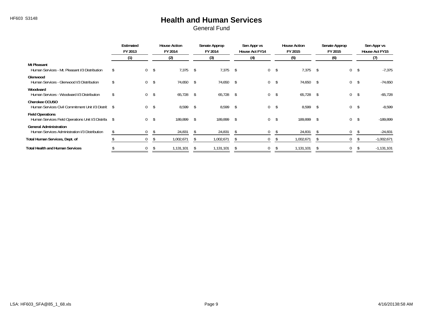#### HF603 S3148 **Health and Human Services**

|                                                                                 | Estimated<br>FY 2013 |                | <b>House Action</b><br>FY 2014 |              | Senate Approp<br>FY 2014 |              | Sen Appr vs<br>House Act FY14 |                | <b>House Action</b><br>FY 2015 |     | Senate Approp<br>FY 2015 |     | Sen Appr vs<br>House Act FY15 |
|---------------------------------------------------------------------------------|----------------------|----------------|--------------------------------|--------------|--------------------------|--------------|-------------------------------|----------------|--------------------------------|-----|--------------------------|-----|-------------------------------|
|                                                                                 | (1)                  |                | (2)                            |              | (3)                      |              | (4)                           |                | (5)                            |     | (6)                      |     | (7)                           |
| <b>Mt Pleasant</b><br>Human Services - Mt. Pleasant I/3 Distribution            | $\mathbf{0}$         | -\$            | 7,375                          | \$           | 7,375                    | \$           | $\overline{0}$                | - \$           | 7,375                          | -\$ | $\mathbf{0}$             | \$  | $-7,375$                      |
| Glenwood<br>Human Services - Glenwood I/3 Distribution                          |                      | 0 <sup>5</sup> | 74,650 \$                      |              | 74,650                   | $\mathsf{s}$ |                               | $0 \quad$ \$   | 74,650                         | -\$ | $\mathbf{0}$             | \$  | $-74,650$                     |
| Woodward<br>Human Services - Woodward I/3 Distribution                          | $\mathbf 0$          | $\mathsf{s}$   | 65,728 \$                      |              | 65,728 \$                |              |                               | $0 \quad$ \$   | 65,728                         | -S  | $\mathbf 0$              | \$  | $-65,728$                     |
| <b>Cherokee CCUSO</b><br>Human Services Civil Commitment Unit I/3 Distrit \$    |                      | 0 <sup>5</sup> | 8,599 \$                       |              | 8,599                    | <b>S</b>     |                               | 0 <sup>5</sup> | 8,599 \$                       |     | $\overline{0}$           | -\$ | $-8,599$                      |
| <b>Field Operations</b><br>Human Services Field Operations Unit I/3 Distribu \$ | $\mathbf 0$          | \$             | 189,899                        | \$           | 189,899                  | <b>S</b>     | $\overline{0}$                | \$             | 189,899                        | -\$ | $\mathbf{0}$             | \$  | $-189.899$                    |
| <b>General Administration</b><br>Human Services Administration I/3 Distribution | $\mathbf{0}$         | -\$            | 24,831                         | - \$         | 24,831                   | <b>S</b>     | $\mathbf{0}$                  | - S            | 24,831                         | -S  | $\mathbf{0}$             |     | $-24,831$                     |
| Total Human Services, Dept. of                                                  | 0                    |                | 1,002,671                      | <sup>S</sup> | 1,002,671                | - \$         | $\mathbf{0}$                  |                | 1,002,671                      | -S  | 0                        |     | $-1,002,671$                  |
| <b>Total Health and Human Services</b>                                          | 0                    |                | 1,131,101                      |              | 1,131,101                |              | $\mathbf{0}$                  |                | 1,131,101                      | -8  | $\mathbf 0$              |     | $-1,131,101$                  |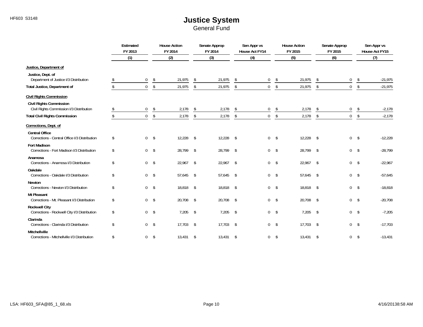|                                                                            | Estimated<br>FY 2013 |                | <b>House Action</b><br>FY 2014 |                         | Senate Approp<br>FY 2014 |            | Sen Appr vs<br>House Act FY14 |                         | <b>House Action</b><br>FY 2015 |            | Senate Approp<br>FY 2015 |               | Sen Appr vs<br>House Act FY15 |
|----------------------------------------------------------------------------|----------------------|----------------|--------------------------------|-------------------------|--------------------------|------------|-------------------------------|-------------------------|--------------------------------|------------|--------------------------|---------------|-------------------------------|
|                                                                            | (1)                  |                | (2)                            |                         | (3)                      |            | (4)                           |                         | (5)                            |            | (6)                      |               | (7)                           |
| Justice, Department of                                                     |                      |                |                                |                         |                          |            |                               |                         |                                |            |                          |               |                               |
| Justice, Dept. of<br>Department of Justice I/3 Distribution                | $\mathbf 0$          | \$             | 21,975                         | \$                      | 21,975                   | \$         | $\mathbf{0}$                  | \$                      | 21,975                         | -\$        | $\mathbf{0}$             | \$            | $-21,975$                     |
| Total Justice, Department of                                               | $\mathbf 0$          | \$             | 21,975                         | $\sqrt[6]{\frac{1}{2}}$ | 21,975                   | \$         | $\mathbf 0$                   | \$                      | 21,975                         | \$         | $\overline{0}$           | \$            | $-21,975$                     |
| <b>Civil Rights Commission</b>                                             |                      |                |                                |                         |                          |            |                               |                         |                                |            |                          |               |                               |
| <b>Civil Rights Commission</b><br>Civil Rights Commission I/3 Distribution | \$<br>$\mathbf 0$    | \$             | 2,178                          | \$                      | 2,178                    | \$         | $\mathbf 0$                   | \$                      | 2,178                          | \$         | 0                        | \$            | $-2,178$                      |
| <b>Total Civil Rights Commission</b>                                       | \$<br>$\mathbf 0$    | \$             | 2,178                          | \$                      | 2,178                    | \$         | $\mathbf 0$                   | $\sqrt[6]{\frac{1}{2}}$ | 2,178                          | \$         | 0                        | \$            | $-2,178$                      |
| Corrections, Dept. of                                                      |                      |                |                                |                         |                          |            |                               |                         |                                |            |                          |               |                               |
| <b>Central Office</b><br>Corrections - Central Office I/3 Distribution     | \$                   | 0 <sup>5</sup> | $12,228$ \$                    |                         | $12,228$ \$              |            | $0 \quad$ \$                  |                         | 12,228                         | \$         | $\overline{0}$           | $\sqrt{5}$    | $-12,228$                     |
| <b>Fort Madison</b><br>Corrections - Fort Madison I/3 Distribution         | \$                   | 0 <sup>5</sup> | 28,799 \$                      |                         | 28,799 \$                |            | $0 \quad$ \$                  |                         | 28,799 \$                      |            | 0 <sup>5</sup>           |               | $-28,799$                     |
| Anamosa<br>Corrections - Anamosa I/3 Distribution                          | \$                   | 0 <sup>5</sup> | $22,967$ \$                    |                         | 22,967 \$                |            | $0 \quad$ \$                  |                         | 22,967                         | \$         | 0 <sup>5</sup>           |               | $-22,967$                     |
| Oakdale<br>Corrections - Oakdale I/3 Distribution                          | \$                   | $0 \quad$ \$   | 57,645 \$                      |                         | 57,645 \$                |            | $0 \quad$ \$                  |                         | 57,645                         | -\$        | 0 <sup>5</sup>           |               | $-57,645$                     |
| <b>Newton</b><br>Corrections - Newton I/3 Distribution                     | \$                   | 0 <sup>5</sup> | 18,818 \$                      |                         | 18,818 \$                |            | 0 <sup>5</sup>                |                         | 18,818 \$                      |            | 0 <sup>5</sup>           |               | $-18,818$                     |
| <b>Mt Pleasant</b><br>Corrections - Mt. Pleasant I/3 Distribution          | \$<br>$0 \quad$ \$   |                | 20,708                         | $\sqrt{3}$              | 20,708 \$                |            | $0 \quad$ \$                  |                         | 20,708                         | $\sqrt{2}$ | 0 <sup>5</sup>           |               | $-20,708$                     |
| <b>Rockwell City</b><br>Corrections - Rockwell City I/3 Distribution       | \$<br>0 <sup>5</sup> |                | $7,205$ \$                     |                         | $7,205$ \$               |            | $0 \quad$ \$                  |                         | 7,205                          | $\sqrt{2}$ | $\overline{0}$           | $\mathsf{\$}$ | $-7,205$                      |
| Clarinda<br>Corrections - Clarinda I/3 Distribution                        | \$                   | 0 <sup>5</sup> | $17,703$ \$                    |                         | $17,703$ \$              |            | 0 <sup>5</sup>                |                         | 17,703                         | -\$        | 0 <sup>5</sup>           |               | $-17,703$                     |
| Mitchellville<br>Corrections - Mitchellville I/3 Distribution              | \$<br>$\overline{0}$ | $\sqrt[6]{}$   | 13,431                         | \$                      | 13,431                   | $\sqrt{5}$ | 0                             | $\sqrt{5}$              | $13,431$ \$                    |            | $\mathbf 0$              | \$            | $-13,431$                     |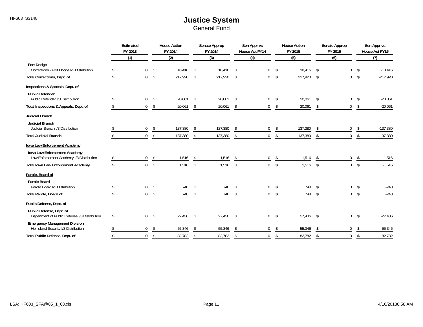|                                                                               | Estimated<br>FY 2013 |               | <b>House Action</b><br>FY 2014 |              | Senate Approp<br>FY 2014 |               | Sen Appr vs<br><b>House Act FY14</b> |            | <b>House Action</b><br>FY 2015 |                | Senate Approp<br>FY 2015 |               | Sen Appr vs<br>House Act FY15 |
|-------------------------------------------------------------------------------|----------------------|---------------|--------------------------------|--------------|--------------------------|---------------|--------------------------------------|------------|--------------------------------|----------------|--------------------------|---------------|-------------------------------|
|                                                                               | (1)                  |               | (2)                            |              | (3)                      |               | (4)                                  |            | (5)                            |                | (6)                      |               | (7)                           |
| <b>Fort Dodge</b><br>Corrections - Fort Dodge I/3 Distribution                | $\mathbf 0$          | \$            | 18,416                         | -S           | 18,416                   | S.            | $\mathbf 0$                          | \$         | 18,416                         |                | 0                        | -S            | $-18,416$                     |
| Total Corrections, Dept. of                                                   | \$<br>$\overline{0}$ | \$            | 217,920                        | \$           | 217,920                  | \$            | $\mathbf 0$                          | \$         | 217,920                        | \$             | $\overline{0}$           | \$            | $-217,920$                    |
| Inspections & Appeals, Dept. of                                               |                      |               |                                |              |                          |               |                                      |            |                                |                |                          |               |                               |
| <b>Public Defender</b><br>Public Defender I/3 Distribution                    | \$<br>$\overline{0}$ | \$            | 20,061                         | \$           | 20,061                   | \$            | 0                                    | \$         | 20,061                         | \$             | 0                        | \$            | $-20,061$                     |
| Total Inspections & Appeals, Dept. of                                         | \$<br>$\overline{0}$ | \$            | 20,061                         | \$           | 20,061                   | \$            | $\boldsymbol{0}$                     | \$         | 20,061                         | \$             | $\mathbf 0$              | \$            | $-20,061$                     |
| Judicial Branch<br><b>Judicial Branch</b><br>Judicial Branch I/3 Distribution | \$<br>$\mathbf 0$    | \$            | 137,380                        | \$           | 137,380                  | <sup>\$</sup> | $\mathbf 0$                          | \$         | 137,380                        | -S             | 0                        | -S            | $-137,380$                    |
| <b>Total Judicial Branch</b>                                                  | \$<br>$\Omega$       | \$            | 137,380                        | \$           | 137,380                  | \$            | $\mathbf{0}$                         | \$         | 137,380                        | $\mathfrak{L}$ | $\mathbf 0$              | \$            | $-137,380$                    |
| Iowa Law Enforcement Academy<br>Iowa Law Enforcement Academy                  |                      |               |                                |              |                          |               |                                      |            |                                |                |                          |               |                               |
| Law Enforcement Academy I/3 Distribution                                      | $\mathbf{0}$         | \$            | 1,516                          | -S           | 1,516                    |               | $\mathbf 0$                          | \$         | 1,516                          |                | 0                        | -\$           | $-1,516$                      |
| <b>Total Iowa Law Enforcement Academy</b>                                     | $\mathbf{0}$         | $\mathsf{\$}$ | 1,516                          | \$           | 1,516                    | \$            | $\mathbf 0$                          | \$         | 1,516                          |                | $\mathbf 0$              | \$            | $-1,516$                      |
| Parole, Board of                                                              |                      |               |                                |              |                          |               |                                      |            |                                |                |                          |               |                               |
| <b>Parole Board</b><br>Parole Board I/3 Distribution                          | \$<br>$\mathbf 0$    | \$            | 748                            | \$           | 748                      | \$            | 0                                    | \$         | 748                            | $\mathfrak{L}$ | 0                        | Ŝ.            | $-748$                        |
| Total Parole, Board of                                                        | \$<br>$\mathbf{0}$   | \$            | 748                            | \$           | 748                      | \$            | $\mathbf 0$                          | \$         | 748                            | $\mathfrak{L}$ | $\mathbf 0$              | \$            | $-748$                        |
| Public Defense, Dept. of                                                      |                      |               |                                |              |                          |               |                                      |            |                                |                |                          |               |                               |
| Public Defense, Dept. of<br>Department of Public Defense I/3 Distribution     | \$<br>$\overline{0}$ | \$            | 27,436                         | $\mathsf{s}$ | 27,436                   | $\mathsf{\$}$ | $\mathbf 0$                          | $^{\circ}$ | 27,436                         | -\$            | $\mathbf 0$              | $\mathsf{\$}$ | $-27,436$                     |
| <b>Emergency Management Division</b><br>Homeland Security I/3 Distribution    | \$<br>$\mathbf{0}$   | \$            | 55,346                         | \$           | 55,346                   | Ŝ.            | $\mathbf{0}$                         | \$         | 55,346                         | -\$            | 0                        | Ŝ.            | $-55,346$                     |
| Total Public Defense, Dept. of                                                | \$<br>$\overline{0}$ | \$            | 82,782                         | \$           | 82,782                   | \$            | $\mathbf{0}$                         | \$         | 82,782                         | $\mathfrak{S}$ | $\mathbf 0$              | \$            | $-82,782$                     |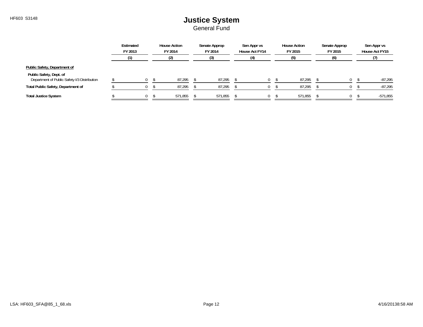|                                                                         | Estimated<br>FY 2013 | <b>House Action</b><br>FY 2014 | Senate Approp<br>FY 2014 | Sen Appr vs<br>House Act FY14 | <b>House Action</b><br>FY 2015 | Senate Approp<br>FY 2015 | Sen Appr vs<br>House Act FY15 |
|-------------------------------------------------------------------------|----------------------|--------------------------------|--------------------------|-------------------------------|--------------------------------|--------------------------|-------------------------------|
|                                                                         |                      |                                |                          |                               |                                | (6)                      |                               |
| Public Safety, Department of                                            |                      |                                |                          |                               |                                |                          |                               |
| Public Safety, Dept. of<br>Department of Public Safety I/3 Distribution |                      | 87,295                         | 87,295                   |                               | 87,295                         | 0                        | $-87,295$                     |
| <b>Total Public Safety, Department of</b>                               |                      | 87,295                         | 87,295                   |                               | 87,295                         |                          | $-87,295$                     |
| <b>Total Justice System</b>                                             |                      | 571,855                        | 571,855                  |                               | 571,855                        | $\Omega$                 | $-571,855$                    |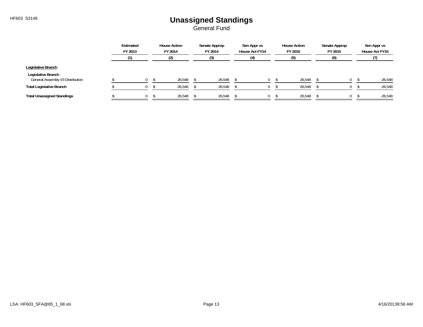## HF603 S3148 **Unassigned Standings**

|                                                         | Estimated<br>FY 2013 | <b>House Action</b><br>FY 2014 | Senate Approp<br>FY 2014 | Sen Appr vs<br>House Act FY14 | <b>House Action</b><br>FY 2015 | Senate Approp<br>FY 2015 | Sen Appr vs<br>House Act FY15 |
|---------------------------------------------------------|----------------------|--------------------------------|--------------------------|-------------------------------|--------------------------------|--------------------------|-------------------------------|
|                                                         |                      |                                |                          | (4)                           | (5)                            | (6)                      |                               |
| Legislative Branch                                      |                      |                                |                          |                               |                                |                          |                               |
| Legislative Branch<br>General Assembly I/3 Distribution |                      | 26,548                         | 26,548                   |                               | 26,548                         |                          | $-26,548$                     |
| <b>Total Legislative Branch</b>                         |                      | 26,548                         | 26,548                   |                               | 26,548                         |                          | $-26,548$                     |
| <b>Total Unassigned Standings</b>                       |                      | 26,548                         | 26,548                   |                               | 26,548                         |                          | $-26,548$                     |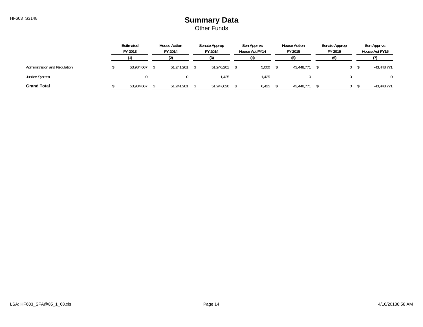#### HF603 S3148 **Summary Data** Other Funds

|                               | Estimated<br>FY 2013 | <b>House Action</b><br>FY 2014 | Senate Approp<br>FY 2014 | Sen Appr vs<br>House Act FY14 | <b>House Action</b><br>FY 2015 | Senate Approp<br>FY 2015 |   | Sen Appr vs<br>House Act FY15 |
|-------------------------------|----------------------|--------------------------------|--------------------------|-------------------------------|--------------------------------|--------------------------|---|-------------------------------|
|                               |                      |                                |                          |                               |                                |                          |   |                               |
| Administration and Regulation | 53,984,067           | 51,241,201                     | 51,246,201               | 5,000                         | 43,448,771                     |                          | 0 | $-43,448,771$                 |
| <b>Justice System</b>         |                      |                                | . 425                    | .425                          |                                |                          |   | 0                             |
| <b>Grand Total</b>            | 53,984,067           | 51,241,201                     | 51,247,626               | 6,425                         | 43,448,771                     |                          |   | $-43,448,771$                 |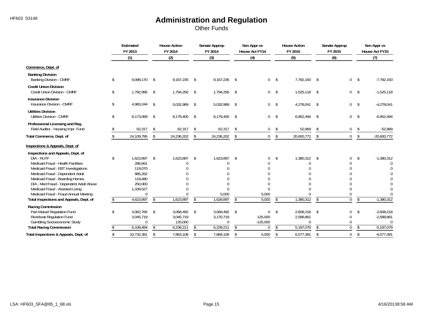Other Funds

|                                                                       | Estimated<br>FY 2013 |     | <b>House Action</b><br>FY 2014 |                          | Senate Approp<br>FY 2014 |            | Sen Appr vs<br>House Act FY14 |                | <b>House Action</b><br>FY 2015 |      | Senate Approp<br>FY 2015 |               | Sen Appr vs<br>House Act FY15 |
|-----------------------------------------------------------------------|----------------------|-----|--------------------------------|--------------------------|--------------------------|------------|-------------------------------|----------------|--------------------------------|------|--------------------------|---------------|-------------------------------|
|                                                                       | (1)                  |     | (2)                            |                          | (3)                      |            | (4)                           |                | (5)                            |      | (6)                      |               | (7)                           |
| Commerce, Dept. of                                                    |                      |     |                                |                          |                          |            |                               |                |                                |      |                          |               |                               |
| <b>Banking Division</b><br><b>Banking Division - CMRF</b>             | \$<br>9,098,170      | -\$ | 9,167,235                      | -\$                      | $9,167,235$ \$           |            | 0                             | $\mathsf{\$}$  | 7,792,150                      | \$   | 0                        | \$            | $-7,792,150$                  |
| <b>Credit Union Division</b><br>Credit Union Division - CMRF          | \$<br>1,792,995      | -\$ | 1,794,256                      | - \$                     | 1,794,256 \$             |            | 0 <sup>5</sup>                |                | 1,525,118                      | - \$ | 0 <sup>5</sup>           |               | $-1,525,118$                  |
| <b>Insurance Division</b><br>Insurance Division - CMRF                | \$<br>4,983,244      | -\$ | 5,032,989                      | \$                       | 5,032,989                | $^{\circ}$ | 0                             | $\mathsf{\$}$  | 4,278,041                      | - \$ | 0                        | $^{\circ}$    | $-4,278,041$                  |
| <b>Utilities Division</b><br><b>Utilities Division - CMRF</b>         | \$<br>8.173.069      | -\$ | 8,179,405                      | \$                       | 8,179,405                | $^{\circ}$ | $\mathbf 0$                   | \$             | 6,952,494                      | \$   | 0                        | - \$          | $-6,952,494$                  |
| Professional Licensing and Reg.<br>Field Auditor - Housing Impr. Fund | 62,317               | \$  | 62,317                         | \$                       | 62,317                   | \$         | $\mathbf{0}$                  | \$             | 52,969                         | \$   | 0                        | \$            | $-52,969$                     |
| Total Commerce, Dept. of                                              | 24,109,795           | \$  | 24,236,202                     | \$                       | 24,236,202               | \$         | 0                             | $\sqrt[6]{}$   | 20,600,772                     | \$   | $\mathbf 0$              | \$            | $-20,600,772$                 |
| Inspections & Appeals, Dept. of                                       |                      |     |                                |                          |                          |            |                               |                |                                |      |                          |               |                               |
| Inspections and Appeals, Dept. of                                     |                      |     |                                |                          |                          |            |                               |                |                                |      |                          |               |                               |
| DIA - RUTF                                                            | \$<br>1.623.897      | \$  | 1,623,897                      | \$                       | 1,623,897                | -\$        | 0                             | \$             | 1,380,312                      | \$   | $\Omega$                 | \$            | $-1,380,312$                  |
| Medicaid Fraud - Health Facilities                                    | 286.661              |     | 0                              |                          | 0                        |            |                               |                | $\Omega$                       |      |                          |               | $\Omega$                      |
| Medicaid Fraud - EBT Investigations                                   | 119,070<br>885,262   |     | $\Omega$                       |                          |                          |            |                               |                |                                |      | $\Omega$<br>U            |               |                               |
| Medicaid Fraud - Dependent Adult<br>Medicaid Fraud - Boarding Homes   | 119,480              |     |                                |                          |                          |            |                               |                |                                |      |                          |               |                               |
| DIA - Med Fraud - Dependent Adult Abuse                               | 250,000              |     | U                              |                          |                          |            |                               |                |                                |      | U                        |               |                               |
| Medicaid Fraud - Assisted Living                                      | 1,339,527            |     | U                              |                          | $\Omega$                 |            | U                             |                |                                |      | $\Omega$                 |               |                               |
| Medicaid Fraud - Fraud Annual Meeting                                 | $\overline{0}$       |     |                                |                          | 5,000                    |            | 5,000                         |                | U                              |      | $\Omega$                 |               |                               |
| Total Inspections and Appeals, Dept. of                               | 4,623,897            | \$  | 1,623,897                      | \$                       | 1,628,897                | \$         | 5,000                         | $\mathfrak{L}$ | 1,380,312                      | \$   | $\overline{0}$           | $\mathcal{S}$ | $-1,380,312$                  |
| Racing Commission                                                     |                      |     |                                |                          |                          |            |                               |                |                                |      |                          |               |                               |
| Pari-Mutuel Regulation Fund                                           | \$<br>3,062,765      | \$  | 3,068,492 \$                   |                          | 3,068,492 \$             |            | $\mathbf 0$                   | -\$            | 2,608,218                      | \$   | 0                        | \$            | $-2,608,218$                  |
| <b>Riverboat Regulation Fund</b>                                      | 3,045,719            |     | 3,045,719                      |                          | 3,170,719                |            | 125,000                       |                | 2,588,861                      |      | $\mathbf 0$              |               | $-2,588,861$                  |
| <b>Gambling Socioeconomic Study</b>                                   | $\Omega$             |     | 125,000                        |                          | $\Omega$                 |            | $-125,000$                    |                | $\Omega$                       |      | $\Omega$                 |               | $\Omega$                      |
| <b>Total Racing Commission</b>                                        | 6,108,484            | \$  | 6,239,211                      | $\overline{\mathcal{S}}$ | 6,239,211                | \$         | $\Omega$                      | $\mathfrak{L}$ | 5,197,079                      | \$   | $\overline{0}$           | $\mathsf{\$}$ | $-5.197.079$                  |
| Total Inspections & Appeals, Dept. of                                 | \$<br>10,732,381     | \$  | 7,863,108                      | \$                       | 7,868,108                | \$         | 5,000                         | \$             | 6,577,391                      | \$   | $\mathbf{0}$             | \$            | $-6,577,391$                  |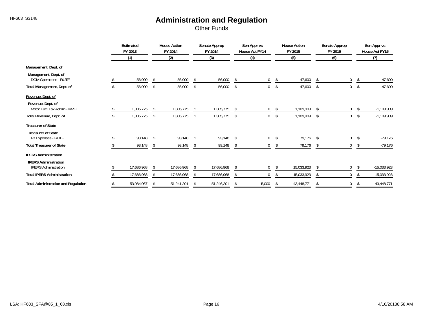Other Funds

|                                                            | Estimated<br>FY 2013 |     | <b>House Action</b><br>FY 2014 |    | Senate Approp<br>FY 2014 |               | Sen Appr vs<br>House Act FY14 | <b>House Action</b><br>FY 2015 |    | Senate Approp<br>FY 2015 |    | Sen Appr vs<br>House Act FY15 |
|------------------------------------------------------------|----------------------|-----|--------------------------------|----|--------------------------|---------------|-------------------------------|--------------------------------|----|--------------------------|----|-------------------------------|
|                                                            | (1)                  |     | (2)                            |    | (3)                      |               | (4)                           | (5)                            |    | (6)                      |    | (7)                           |
| Management, Dept. of                                       |                      |     |                                |    |                          |               |                               |                                |    |                          |    |                               |
| Management, Dept. of<br>DOM Operations - RUTF              | 56,000               | -\$ | 56,000                         | \$ | 56,000                   | \$            | 0                             | \$<br>47,600                   | \$ | 0                        | S. | $-47,600$                     |
| Total Management, Dept. of                                 | 56,000               | \$  | 56,000                         | \$ | 56,000                   | \$            | 0                             | \$<br>47,600                   | Ŝ. | 0                        | R  | $-47,600$                     |
| Revenue, Dept. of                                          |                      |     |                                |    |                          |               |                               |                                |    |                          |    |                               |
| Revenue, Dept. of<br>Motor Fuel Tax Admin - MVFT           | 1,305,775            | \$  | 1,305,775                      | -S | 1,305,775                | -S            | 0                             | \$<br>1,109,909                | Ŝ. | 0                        | -S | $-1,109,909$                  |
| Total Revenue, Dept. of                                    | 1,305,775            | S.  | 1,305,775                      | -S | 1,305,775                | -S            | $\mathbf 0$                   | \$<br>1,109,909                | \$ | $\mathbf{0}$             | -S | $-1,109,909$                  |
| <b>Treasurer of State</b>                                  |                      |     |                                |    |                          |               |                               |                                |    |                          |    |                               |
| <b>Treasurer of State</b><br>I-3 Expenses - RUTF           | 93,148               | -S  | 93,148                         | \$ | 93,148                   | -\$           | 0                             | \$<br>79,176                   | -S | 0                        |    | $-79,176$                     |
| <b>Total Treasurer of State</b>                            | 93,148               | -S  | 93,148                         | -S | 93,148                   | <sup>\$</sup> |                               | 79,176                         |    | 0                        |    | $-79,176$                     |
| <b>IPERS Administration</b>                                |                      |     |                                |    |                          |               |                               |                                |    |                          |    |                               |
| <b>IPERS Administration</b><br><b>IPERS Administration</b> | 17,686,968           |     | 17,686,968                     | Ŝ. | 17,686,968               | <sup>\$</sup> | 0                             | 15,033,923                     |    | 0                        |    | $-15,033,923$                 |
| <b>Total IPERS Administration</b>                          | 17,686,968           |     | 17,686,968                     | Ŝ. | 17,686,968               | \$            | 0                             | 15,033,923                     | Ŝ. | 0                        |    | $-15,033,923$                 |
| <b>Total Administration and Regulation</b>                 | 53,984,067           | \$  | 51,241,201                     | \$ | 51,246,201               | \$            | 5,000                         | \$<br>43,448,771               | \$ | 0                        | -S | $-43,448,771$                 |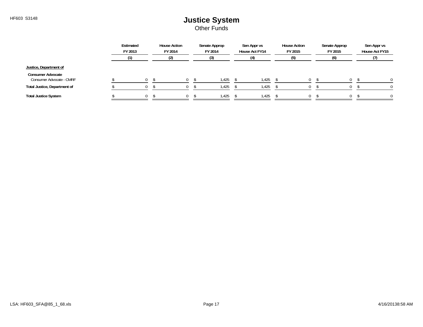Other Funds

|                                                      | Estimated<br>FY 2013 | <b>House Action</b><br>FY 2014 | Senate Approp<br>FY 2014 | Sen Appr vs<br>House Act FY14 | <b>House Action</b><br>FY 2015 | Senate Approp<br>FY 2015 | Sen Appr vs<br>House Act FY15 |
|------------------------------------------------------|----------------------|--------------------------------|--------------------------|-------------------------------|--------------------------------|--------------------------|-------------------------------|
|                                                      |                      | (2)                            | I3)                      | (4)                           | נט)                            | (6)                      |                               |
| Justice, Department of                               |                      |                                |                          |                               |                                |                          |                               |
| <b>Consumer Advocate</b><br>Consumer Advocate - CMRF |                      |                                | 1.425                    | .425                          |                                |                          |                               |
| Total Justice, Department of                         |                      |                                | 1,425                    | 425، ا                        |                                |                          |                               |
| <b>Total Justice System</b>                          |                      |                                | 1,425                    | .425                          | $^{\prime}$                    |                          |                               |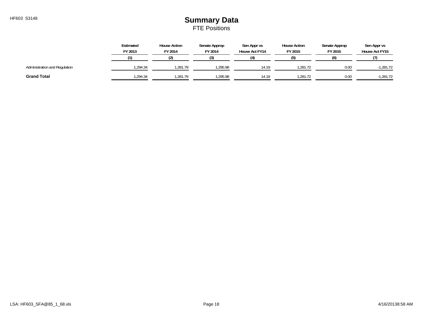#### HF603 S3148 **Summary Data** FTE Positions

|                               | Estimated<br>FY 2013 | <b>House Action</b><br>FY 2014 | Senate Approp<br>FY 2014 | Sen Appr vs<br>House Act FY14 | <b>House Action</b><br>FY 2015 | Senate Approp<br>FY 2015 | Sen Appr vs<br>House Act FY15 |
|-------------------------------|----------------------|--------------------------------|--------------------------|-------------------------------|--------------------------------|--------------------------|-------------------------------|
|                               |                      |                                |                          | $\Delta$                      |                                | (6)                      |                               |
| Administration and Regulation | .294.34              | 1.281.79                       | 1.295.98                 | 14.19                         | .281.72                        | 0.00                     | $-1,281.72$                   |
| <b>Grand Total</b>            | .294.34              | 1.281.79                       | 1,295.98                 | 14.19                         | .281.72                        | 0.00                     | 1.281.72                      |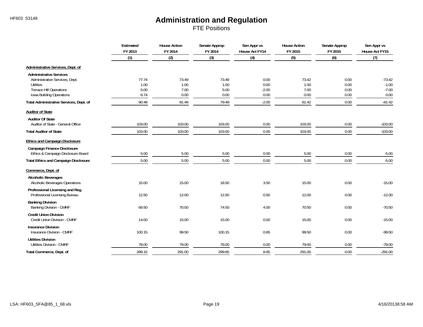FTE Positions

|                                                                  | Estimated<br>FY 2013<br>(1) | <b>House Action</b><br>FY 2014<br>(2) | Senate Approp<br>FY 2014<br>(3) | Sen Appr vs<br><b>House Act FY14</b><br>(4) | <b>House Action</b><br>FY 2015<br>(5) | Senate Approp<br>FY 2015<br>(6) | Sen Appr vs<br>House Act FY15<br>(7) |
|------------------------------------------------------------------|-----------------------------|---------------------------------------|---------------------------------|---------------------------------------------|---------------------------------------|---------------------------------|--------------------------------------|
|                                                                  |                             |                                       |                                 |                                             |                                       |                                 |                                      |
| Administrative Services, Dept. of                                |                             |                                       |                                 |                                             |                                       |                                 |                                      |
| <b>Administrative Services</b>                                   |                             |                                       |                                 |                                             |                                       |                                 |                                      |
| Administrative Services, Dept.                                   | 77.74                       | 73.49                                 | 73.49                           | 0.00                                        | 73.42                                 | 0.00                            | $-73.42$                             |
| <b>Utilities</b><br><b>Terrace Hill Operations</b>               | 1.00<br>5.00                | 1.00<br>7.00                          | 1.00<br>5.00                    | 0.00<br>$-2.00$                             | 1.00<br>7.00                          | 0.00<br>0.00                    | $-1.00$<br>$-7.00$                   |
| Iowa Building Operations                                         | 6.74                        | 0.00                                  | 0.00                            | 0.00                                        | 0.00                                  | 0.00                            | 0.00                                 |
| Total Administrative Services, Dept. of                          | 90.48                       | 81.49                                 | 79.49                           | $-2.00$                                     | 81.42                                 | 0.00                            | $-81.42$                             |
| <b>Auditor of State</b>                                          |                             |                                       |                                 |                                             |                                       |                                 |                                      |
| <b>Auditor Of State</b>                                          |                             |                                       |                                 |                                             |                                       |                                 |                                      |
| Auditor of State - General Office                                | 103.00                      | 103.00                                | 103.00                          | 0.00                                        | 103.00                                | 0.00                            | $-103.00$                            |
| <b>Total Auditor of State</b>                                    | 103.00                      | 103.00                                | 103.00                          | 0.00                                        | 103.00                                | 0.00                            | $-103.00$                            |
| <b>Ethics and Campaign Disclosure</b>                            |                             |                                       |                                 |                                             |                                       |                                 |                                      |
| <b>Campaign Finance Disclosure</b>                               |                             |                                       |                                 |                                             |                                       |                                 |                                      |
| Ethics & Campaign Disclosure Board                               | 5.00                        | 5.00                                  | 5.00                            | 0.00                                        | 5.00                                  | 0.00                            | $-5.00$                              |
| <b>Total Ethics and Campaign Disclosure</b>                      | 5.00                        | 5.00                                  | 5.00                            | 0.00                                        | 5.00                                  | 0.00                            | $-5.00$                              |
| Commerce, Dept. of                                               |                             |                                       |                                 |                                             |                                       |                                 |                                      |
| <b>Alcoholic Beverages</b>                                       |                             |                                       |                                 |                                             |                                       |                                 |                                      |
| Alcoholic Beverages Operations                                   | 15.00                       | 15.00                                 | 18.50                           | 3.50                                        | 15.00                                 | 0.00                            | $-15.00$                             |
| Professional Licensing and Reg.<br>Professional Licensing Bureau | 12.50                       | 12.00                                 | 12.50                           | 0.50                                        | 12.00                                 | 0.00                            | $-12.00$                             |
| <b>Banking Division</b>                                          |                             |                                       |                                 |                                             |                                       |                                 |                                      |
| Banking Division - CMRF                                          | 68.50                       | 70.50                                 | 74.50                           | 4.00                                        | 70.50                                 | 0.00                            | $-70.50$                             |
| <b>Credit Union Division</b><br>Credit Union Division - CMRF     | 14.00                       | 15.00                                 | 15.00                           | 0.00                                        | 15.00                                 | 0.00                            | $-15.00$                             |
| <b>Insurance Division</b><br>Insurance Division - CMRF           | 100.15                      | 99.50                                 | 100.15                          | 0.65                                        | 99.50                                 | 0.00                            | $-99.50$                             |
| <b>Utilities Division</b>                                        |                             |                                       |                                 |                                             |                                       |                                 |                                      |
| <b>Utilities Division - CMRF</b>                                 | 79.00                       | 79.00                                 | 79.00                           | 0.00                                        | 79.00                                 | 0.00                            | $-79.00$                             |
| Total Commerce, Dept. of                                         | 289.15                      | 291.00                                | 299.65                          | 8.65                                        | 291.00                                | 0.00                            | $-291.00$                            |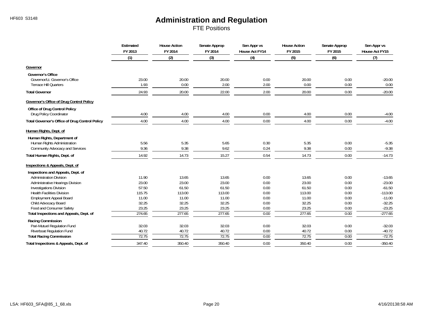FTE Positions

|                                                 | Estimated<br>FY 2013<br>(1) | <b>House Action</b><br>FY 2014<br>(2) | Senate Approp<br>FY 2014<br>(3) | Sen Appr vs<br>House Act FY14<br>(4) | <b>House Action</b><br>FY 2015<br>(5) | Senate Approp<br>FY 2015<br>(6) | Sen Appr vs<br>House Act FY15<br>(7) |
|-------------------------------------------------|-----------------------------|---------------------------------------|---------------------------------|--------------------------------------|---------------------------------------|---------------------------------|--------------------------------------|
|                                                 |                             |                                       |                                 |                                      |                                       |                                 |                                      |
| Governor                                        |                             |                                       |                                 |                                      |                                       |                                 |                                      |
| <b>Governor's Office</b>                        |                             |                                       |                                 |                                      |                                       |                                 |                                      |
| Governor/Lt. Governor's Office                  | 23.00                       | 20.00                                 | 20.00                           | 0.00                                 | 20.00                                 | 0.00                            | $-20.00$                             |
| <b>Terrace Hill Quarters</b>                    | 1.93                        | 0.00                                  | 2.00                            | 2.00                                 | 0.00                                  | 0.00                            | 0.00                                 |
| <b>Total Governor</b>                           | 24.93                       | 20.00                                 | 22.00                           | 2.00                                 | 20.00                                 | 0.00                            | $-20.00$                             |
| <b>Governor's Office of Drug Control Policy</b> |                             |                                       |                                 |                                      |                                       |                                 |                                      |
| <b>Office of Drug Control Policy</b>            |                             |                                       |                                 |                                      |                                       |                                 |                                      |
| Drug Policy Coordinator                         | 4.00                        | 4.00                                  | 4.00                            | 0.00                                 | 4.00                                  | 0.00                            | $-4.00$                              |
| Total Governor's Office of Drug Control Policy  | 4.00                        | 4.00                                  | 4.00                            | 0.00                                 | 4.00                                  | 0.00                            | $-4.00$                              |
| Human Rights, Dept. of                          |                             |                                       |                                 |                                      |                                       |                                 |                                      |
| Human Rights, Department of                     |                             |                                       |                                 |                                      |                                       |                                 |                                      |
| Human Rights Administration                     | 5.56                        | 5.35                                  | 5.65                            | 0.30                                 | 5.35                                  | 0.00                            | $-5.35$                              |
| Community Advocacy and Services                 | 9.36                        | 9.38                                  | 9.62                            | 0.24                                 | 9.38                                  | 0.00                            | $-9.38$                              |
| Total Human Rights, Dept. of                    | 14.92                       | 14.73                                 | 15.27                           | 0.54                                 | 14.73                                 | 0.00                            | $-14.73$                             |
| Inspections & Appeals, Dept. of                 |                             |                                       |                                 |                                      |                                       |                                 |                                      |
| Inspections and Appeals, Dept. of               |                             |                                       |                                 |                                      |                                       |                                 |                                      |
| <b>Administration Division</b>                  | 11.90                       | 13.65                                 | 13.65                           | 0.00                                 | 13.65                                 | 0.00                            | $-13.65$                             |
| Administrative Hearings Division                | 23.00                       | 23.00                                 | 23.00                           | 0.00                                 | 23.00                                 | 0.00                            | $-23.00$                             |
| <b>Investigations Division</b>                  | 57.50                       | 61.50                                 | 61.50                           | 0.00                                 | 61.50                                 | 0.00                            | $-61.50$                             |
| <b>Health Facilities Division</b>               | 115.75                      | 113.00                                | 113.00                          | 0.00                                 | 113.00                                | 0.00                            | $-113.00$                            |
| <b>Employment Appeal Board</b>                  | 11.00                       | 11.00                                 | 11.00                           | 0.00                                 | 11.00                                 | 0.00                            | $-11.00$                             |
| Child Advocacy Board                            | 32.25                       | 32.25                                 | 32.25                           | 0.00                                 | 32.25                                 | 0.00                            | $-32.25$                             |
| Food and Consumer Safety                        | 23.25                       | 23.25                                 | 23.25                           | 0.00                                 | 23.25                                 | 0.00                            | $-23.25$                             |
| Total Inspections and Appeals, Dept. of         | 274.65                      | 277.65                                | 277.65                          | 0.00                                 | 277.65                                | 0.00                            | $-277.65$                            |
| Racing Commission                               |                             |                                       |                                 |                                      |                                       |                                 |                                      |
| Pari-Mutuel Regulation Fund                     | 32.03                       | 32.03                                 | 32.03                           | 0.00                                 | 32.03                                 | 0.00                            | $-32.03$                             |
| Riverboat Regulation Fund                       | 40.72                       | 40.72                                 | 40.72                           | 0.00                                 | 40.72                                 | 0.00                            | $-40.72$                             |
| <b>Total Racing Commission</b>                  | 72.75                       | 72.75                                 | 72.75                           | 0.00                                 | 72.75                                 | 0.00                            | $-72.75$                             |
| Total Inspections & Appeals, Dept. of           | 347.40                      | 350.40                                | 350.40                          | 0.00                                 | 350.40                                | 0.00                            | $-350.40$                            |